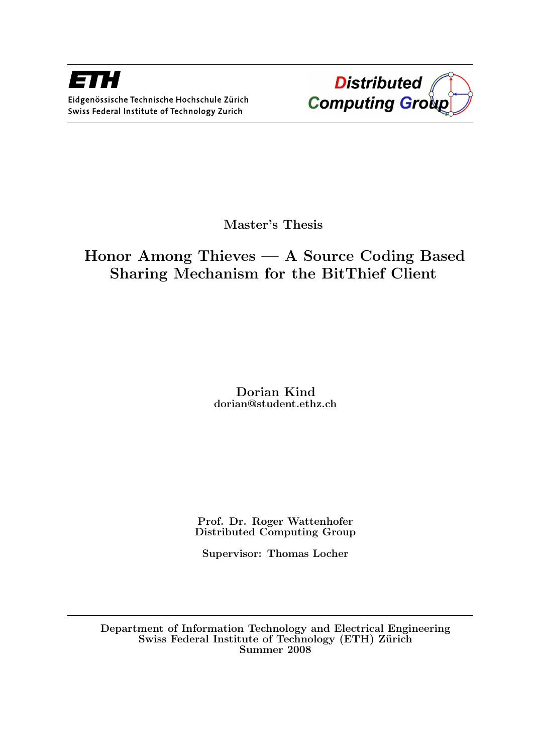

Master's Thesis

# Honor Among Thieves — A Source Coding Based Sharing Mechanism for the BitThief Client

Dorian Kind dorian@student.ethz.ch

Prof. Dr. Roger Wattenhofer Distributed Computing Group

Supervisor: Thomas Locher

Department of Information Technology and Electrical Engineering Swiss Federal Institute of Technology (ETH) Zürich Summer 2008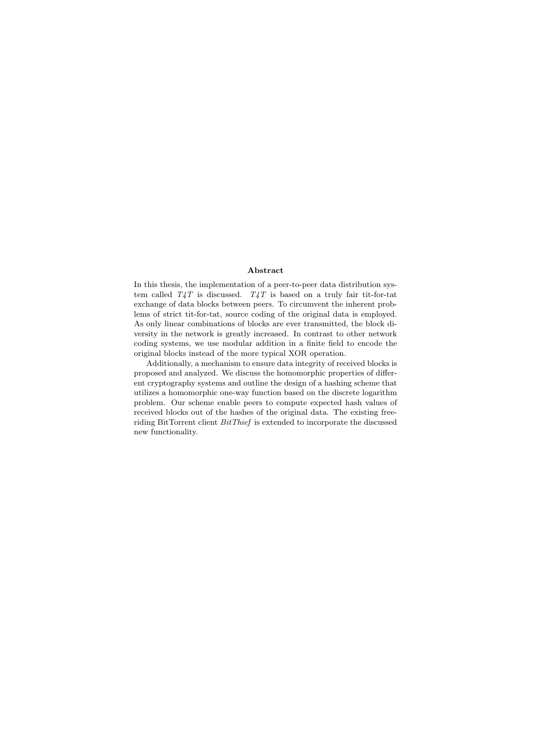#### Abstract

In this thesis, the implementation of a peer-to-peer data distribution system called  $T_4T$  is discussed.  $T_4T$  is based on a truly fair tit-for-tat exchange of data blocks between peers. To circumvent the inherent problems of strict tit-for-tat, source coding of the original data is employed. As only linear combinations of blocks are ever transmitted, the block diversity in the network is greatly increased. In contrast to other network coding systems, we use modular addition in a finite field to encode the original blocks instead of the more typical XOR operation.

Additionally, a mechanism to ensure data integrity of received blocks is proposed and analyzed. We discuss the homomorphic properties of different cryptography systems and outline the design of a hashing scheme that utilizes a homomorphic one-way function based on the discrete logarithm problem. Our scheme enable peers to compute expected hash values of received blocks out of the hashes of the original data. The existing freeriding BitTorrent client BitThief is extended to incorporate the discussed new functionality.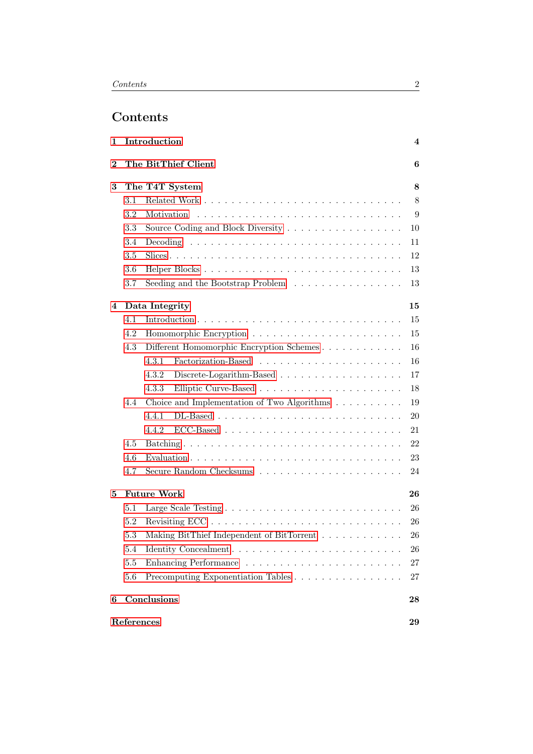# Contents

| 1        |                | Introduction                                                                  | 4         |  |  |  |  |
|----------|----------------|-------------------------------------------------------------------------------|-----------|--|--|--|--|
| $\bf{2}$ |                | The BitThief Client                                                           | 6         |  |  |  |  |
| 3        | The T4T System |                                                                               |           |  |  |  |  |
|          | 3.1            |                                                                               | 8         |  |  |  |  |
|          | 3.2            | Motivation                                                                    | 9         |  |  |  |  |
|          | 3.3            | Source Coding and Block Diversity                                             | 10        |  |  |  |  |
|          | 3.4            |                                                                               | 11        |  |  |  |  |
|          | 3.5            |                                                                               | 12        |  |  |  |  |
|          | 3.6            |                                                                               | 13        |  |  |  |  |
|          | 3.7            | Seeding and the Bootstrap Problem $\ldots \ldots \ldots \ldots \ldots$        | 13        |  |  |  |  |
| 4        |                | Data Integrity                                                                | 15        |  |  |  |  |
|          | 4.1            |                                                                               | 15        |  |  |  |  |
|          | 4.2            |                                                                               | 15        |  |  |  |  |
|          | 4.3            |                                                                               | 16        |  |  |  |  |
|          |                | 4.3.1                                                                         | 16        |  |  |  |  |
|          |                | 4.3.2<br>Discrete-Logarithm-Based $\ldots \ldots \ldots \ldots \ldots \ldots$ | 17        |  |  |  |  |
|          |                | 4.3.3                                                                         | 18        |  |  |  |  |
|          | 4.4            | Choice and Implementation of Two Algorithms                                   | 19        |  |  |  |  |
|          |                | 4.4.1                                                                         | 20        |  |  |  |  |
|          |                | 4.4.2                                                                         | 21        |  |  |  |  |
|          | 4.5            |                                                                               | 22        |  |  |  |  |
|          | 4.6            |                                                                               | 23        |  |  |  |  |
|          | 4.7            |                                                                               | 24        |  |  |  |  |
| 5        |                | <b>Future Work</b>                                                            | 26        |  |  |  |  |
|          | $5.1\,$        |                                                                               | 26        |  |  |  |  |
|          | 5.2            | Revisiting ECC                                                                | 26        |  |  |  |  |
|          | 5.3            | Making BitThief Independent of BitTorrent                                     | <b>26</b> |  |  |  |  |
|          | 5.4            |                                                                               | 26        |  |  |  |  |
|          | 5.5            |                                                                               | 27        |  |  |  |  |
|          | 5.6            | Precomputing Exponentiation Tables                                            | 27        |  |  |  |  |
| 6        |                | Conclusions                                                                   | 28        |  |  |  |  |
|          | References     |                                                                               | 29        |  |  |  |  |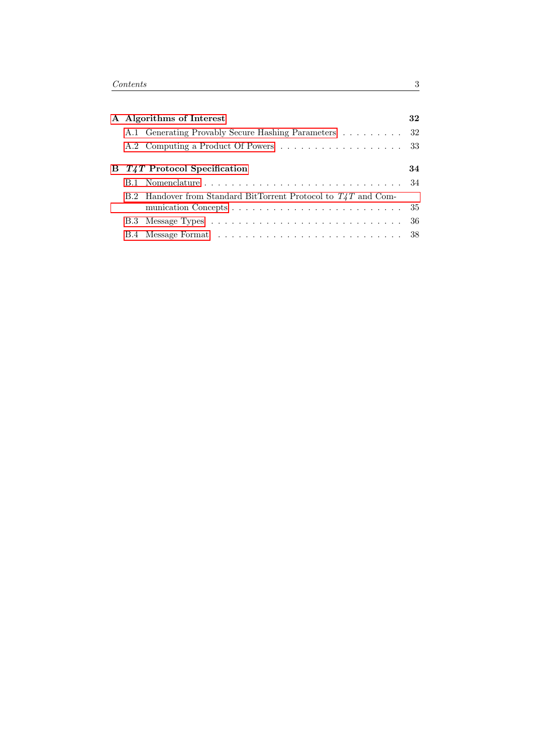|  | A Algorithms of Interest                                       | 32 |
|--|----------------------------------------------------------------|----|
|  | A.1 Generating Provably Secure Hashing Parameters 32           |    |
|  | A.2 Computing a Product Of Powers 33                           |    |
|  | B <i>T4T</i> Protocol Specification                            | 34 |
|  |                                                                |    |
|  | B.2 Handover from Standard BitTorrent Protocol to T4T and Com- |    |
|  |                                                                |    |
|  |                                                                |    |
|  |                                                                |    |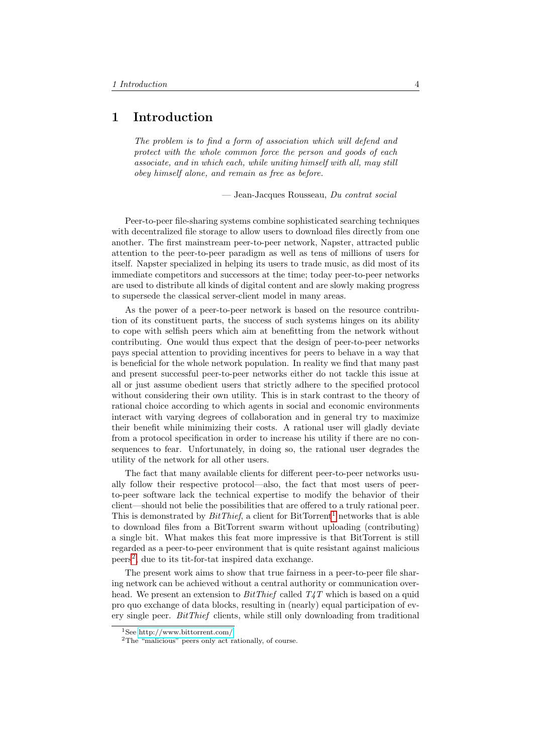## <span id="page-4-0"></span>1 Introduction

The problem is to find a form of association which will defend and protect with the whole common force the person and goods of each associate, and in which each, while uniting himself with all, may still obey himself alone, and remain as free as before.

— Jean-Jacques Rousseau, Du contrat social

Peer-to-peer file-sharing systems combine sophisticated searching techniques with decentralized file storage to allow users to download files directly from one another. The first mainstream peer-to-peer network, Napster, attracted public attention to the peer-to-peer paradigm as well as tens of millions of users for itself. Napster specialized in helping its users to trade music, as did most of its immediate competitors and successors at the time; today peer-to-peer networks are used to distribute all kinds of digital content and are slowly making progress to supersede the classical server-client model in many areas.

As the power of a peer-to-peer network is based on the resource contribution of its constituent parts, the success of such systems hinges on its ability to cope with selfish peers which aim at benefitting from the network without contributing. One would thus expect that the design of peer-to-peer networks pays special attention to providing incentives for peers to behave in a way that is beneficial for the whole network population. In reality we find that many past and present successful peer-to-peer networks either do not tackle this issue at all or just assume obedient users that strictly adhere to the specified protocol without considering their own utility. This is in stark contrast to the theory of rational choice according to which agents in social and economic environments interact with varying degrees of collaboration and in general try to maximize their benefit while minimizing their costs. A rational user will gladly deviate from a protocol specification in order to increase his utility if there are no consequences to fear. Unfortunately, in doing so, the rational user degrades the utility of the network for all other users.

The fact that many available clients for different peer-to-peer networks usually follow their respective protocol—also, the fact that most users of peerto-peer software lack the technical expertise to modify the behavior of their client—should not belie the possibilities that are offered to a truly rational peer. This is demonstrated by  $BitThief$ , a client for BitTorrent<sup>[1](#page-4-1)</sup> networks that is able to download files from a BitTorrent swarm without uploading (contributing) a single bit. What makes this feat more impressive is that BitTorrent is still regarded as a peer-to-peer environment that is quite resistant against malicious peers[2](#page-4-2) , due to its tit-for-tat inspired data exchange.

The present work aims to show that true fairness in a peer-to-peer file sharing network can be achieved without a central authority or communication overhead. We present an extension to  $BitThief$  called  $T_4T$  which is based on a quid pro quo exchange of data blocks, resulting in (nearly) equal participation of every single peer. BitThief clients, while still only downloading from traditional

<span id="page-4-1"></span><sup>1</sup>See [http://www.bittorrent.com/.](http://www.bittorrent.com/)

<span id="page-4-2"></span><sup>2</sup>The "malicious" peers only act rationally, of course.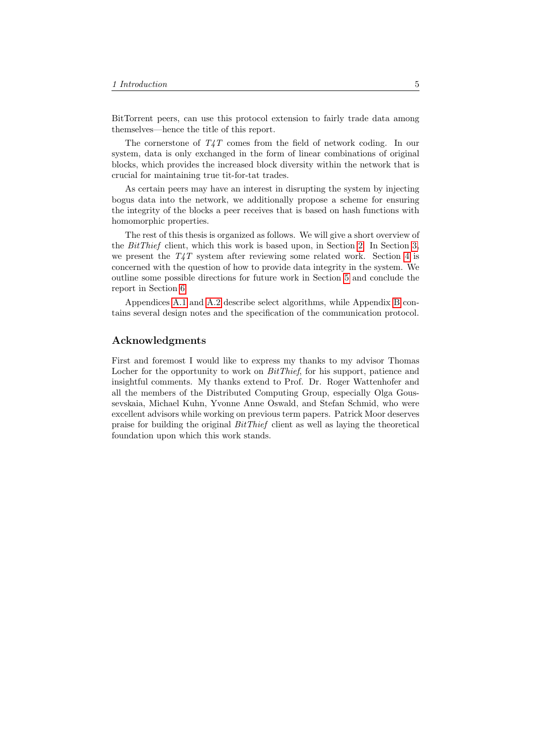BitTorrent peers, can use this protocol extension to fairly trade data among themselves—hence the title of this report.

The cornerstone of  $T_{4}T$  comes from the field of network coding. In our system, data is only exchanged in the form of linear combinations of original blocks, which provides the increased block diversity within the network that is crucial for maintaining true tit-for-tat trades.

As certain peers may have an interest in disrupting the system by injecting bogus data into the network, we additionally propose a scheme for ensuring the integrity of the blocks a peer receives that is based on hash functions with homomorphic properties.

The rest of this thesis is organized as follows. We will give a short overview of the BitThief client, which this work is based upon, in Section [2.](#page-6-0) In Section [3,](#page-8-0) we present the  $T_{4}T$  system after reviewing some related work. Section [4](#page-15-0) is concerned with the question of how to provide data integrity in the system. We outline some possible directions for future work in Section [5](#page-26-0) and conclude the report in Section [6.](#page-28-0)

Appendices [A.1](#page-32-1) and [A.2](#page-33-0) describe select algorithms, while Appendix [B](#page-34-0) contains several design notes and the specification of the communication protocol.

## Acknowledgments

First and foremost I would like to express my thanks to my advisor Thomas Locher for the opportunity to work on *BitThief*, for his support, patience and insightful comments. My thanks extend to Prof. Dr. Roger Wattenhofer and all the members of the Distributed Computing Group, especially Olga Goussevskaia, Michael Kuhn, Yvonne Anne Oswald, and Stefan Schmid, who were excellent advisors while working on previous term papers. Patrick Moor deserves praise for building the original  $BitThief$  client as well as laying the theoretical foundation upon which this work stands.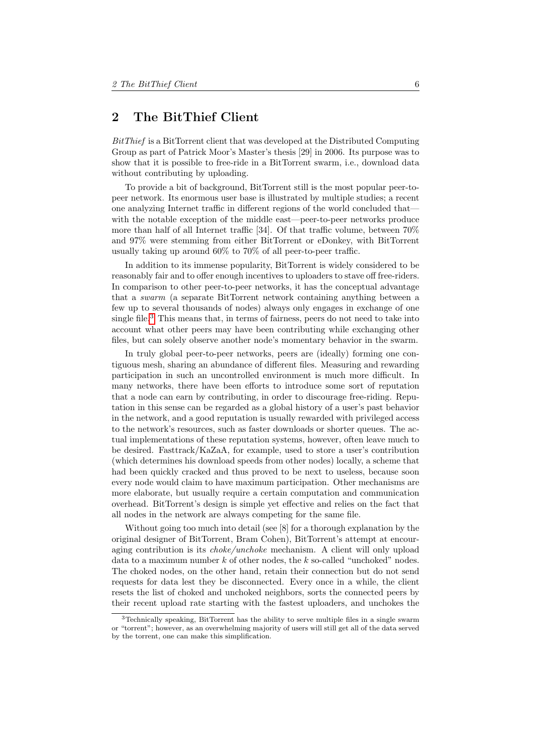## <span id="page-6-0"></span>2 The BitThief Client

BitThief is a BitTorrent client that was developed at the Distributed Computing Group as part of Patrick Moor's Master's thesis [29] in 2006. Its purpose was to show that it is possible to free-ride in a BitTorrent swarm, i.e., download data without contributing by uploading.

To provide a bit of background, BitTorrent still is the most popular peer-topeer network. Its enormous user base is illustrated by multiple studies; a recent one analyzing Internet traffic in different regions of the world concluded that with the notable exception of the middle east—peer-to-peer networks produce more than half of all Internet traffic [34]. Of that traffic volume, between 70% and 97% were stemming from either BitTorrent or eDonkey, with BitTorrent usually taking up around 60% to 70% of all peer-to-peer traffic.

In addition to its immense popularity, BitTorrent is widely considered to be reasonably fair and to offer enough incentives to uploaders to stave off free-riders. In comparison to other peer-to-peer networks, it has the conceptual advantage that a swarm (a separate BitTorrent network containing anything between a few up to several thousands of nodes) always only engages in exchange of one single file.[3](#page-6-1) This means that, in terms of fairness, peers do not need to take into account what other peers may have been contributing while exchanging other files, but can solely observe another node's momentary behavior in the swarm.

In truly global peer-to-peer networks, peers are (ideally) forming one contiguous mesh, sharing an abundance of different files. Measuring and rewarding participation in such an uncontrolled environment is much more difficult. In many networks, there have been efforts to introduce some sort of reputation that a node can earn by contributing, in order to discourage free-riding. Reputation in this sense can be regarded as a global history of a user's past behavior in the network, and a good reputation is usually rewarded with privileged access to the network's resources, such as faster downloads or shorter queues. The actual implementations of these reputation systems, however, often leave much to be desired. Fasttrack/KaZaA, for example, used to store a user's contribution (which determines his download speeds from other nodes) locally, a scheme that had been quickly cracked and thus proved to be next to useless, because soon every node would claim to have maximum participation. Other mechanisms are more elaborate, but usually require a certain computation and communication overhead. BitTorrent's design is simple yet effective and relies on the fact that all nodes in the network are always competing for the same file.

Without going too much into detail (see [8] for a thorough explanation by the original designer of BitTorrent, Bram Cohen), BitTorrent's attempt at encouraging contribution is its *choke/unchoke* mechanism. A client will only upload data to a maximum number  $k$  of other nodes, the  $k$  so-called "unchoked" nodes. The choked nodes, on the other hand, retain their connection but do not send requests for data lest they be disconnected. Every once in a while, the client resets the list of choked and unchoked neighbors, sorts the connected peers by their recent upload rate starting with the fastest uploaders, and unchokes the

<span id="page-6-1"></span><sup>3</sup>Technically speaking, BitTorrent has the ability to serve multiple files in a single swarm or "torrent"; however, as an overwhelming majority of users will still get all of the data served by the torrent, one can make this simplification.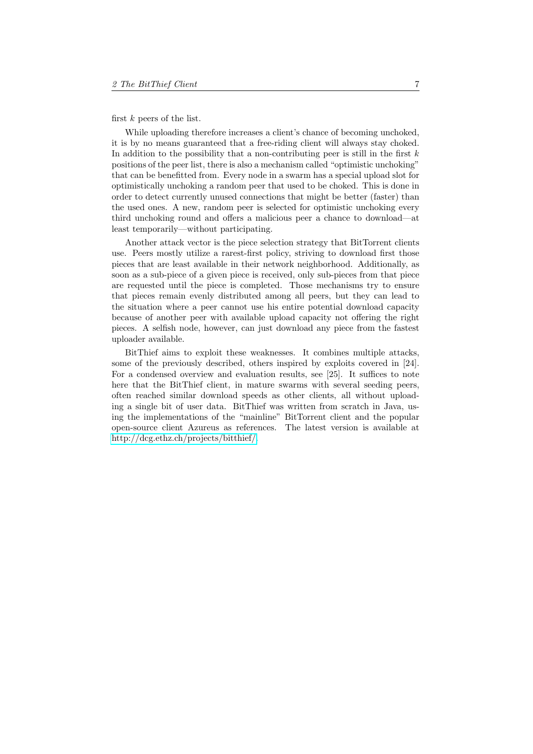first  $k$  peers of the list.

While uploading therefore increases a client's chance of becoming unchoked, it is by no means guaranteed that a free-riding client will always stay choked. In addition to the possibility that a non-contributing peer is still in the first  $k$ positions of the peer list, there is also a mechanism called "optimistic unchoking" that can be benefitted from. Every node in a swarm has a special upload slot for optimistically unchoking a random peer that used to be choked. This is done in order to detect currently unused connections that might be better (faster) than the used ones. A new, random peer is selected for optimistic unchoking every third unchoking round and offers a malicious peer a chance to download—at least temporarily—without participating.

Another attack vector is the piece selection strategy that BitTorrent clients use. Peers mostly utilize a rarest-first policy, striving to download first those pieces that are least available in their network neighborhood. Additionally, as soon as a sub-piece of a given piece is received, only sub-pieces from that piece are requested until the piece is completed. Those mechanisms try to ensure that pieces remain evenly distributed among all peers, but they can lead to the situation where a peer cannot use his entire potential download capacity because of another peer with available upload capacity not offering the right pieces. A selfish node, however, can just download any piece from the fastest uploader available.

BitThief aims to exploit these weaknesses. It combines multiple attacks, some of the previously described, others inspired by exploits covered in [24]. For a condensed overview and evaluation results, see [25]. It suffices to note here that the BitThief client, in mature swarms with several seeding peers, often reached similar download speeds as other clients, all without uploading a single bit of user data. BitThief was written from scratch in Java, using the implementations of the "mainline" BitTorrent client and the popular open-source client Azureus as references. The latest version is available at [http://dcg.ethz.ch/projects/bitthief/.](http://dcg.ethz.ch/projects/bitthief/)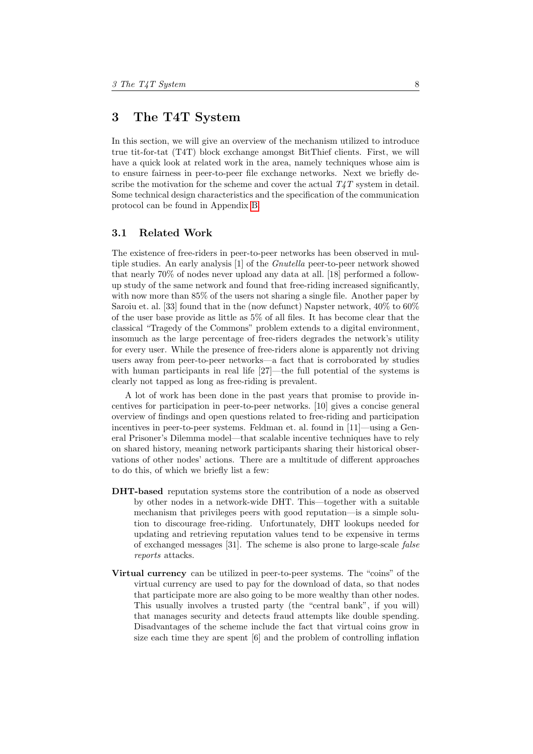## <span id="page-8-0"></span>3 The T4T System

In this section, we will give an overview of the mechanism utilized to introduce true tit-for-tat (T4T) block exchange amongst BitThief clients. First, we will have a quick look at related work in the area, namely techniques whose aim is to ensure fairness in peer-to-peer file exchange networks. Next we briefly describe the motivation for the scheme and cover the actual  $T_4T$  system in detail. Some technical design characteristics and the specification of the communication protocol can be found in Appendix [B.](#page-34-0)

## <span id="page-8-1"></span>3.1 Related Work

The existence of free-riders in peer-to-peer networks has been observed in multiple studies. An early analysis [1] of the *Gnutella* peer-to-peer network showed that nearly 70% of nodes never upload any data at all. [18] performed a followup study of the same network and found that free-riding increased significantly, with now more than 85% of the users not sharing a single file. Another paper by Saroiu et. al. [33] found that in the (now defunct) Napster network, 40% to 60% of the user base provide as little as 5% of all files. It has become clear that the classical "Tragedy of the Commons" problem extends to a digital environment, insomuch as the large percentage of free-riders degrades the network's utility for every user. While the presence of free-riders alone is apparently not driving users away from peer-to-peer networks—a fact that is corroborated by studies with human participants in real life [27]—the full potential of the systems is clearly not tapped as long as free-riding is prevalent.

A lot of work has been done in the past years that promise to provide incentives for participation in peer-to-peer networks. [10] gives a concise general overview of findings and open questions related to free-riding and participation incentives in peer-to-peer systems. Feldman et. al. found in [11]—using a General Prisoner's Dilemma model—that scalable incentive techniques have to rely on shared history, meaning network participants sharing their historical observations of other nodes' actions. There are a multitude of different approaches to do this, of which we briefly list a few:

- DHT-based reputation systems store the contribution of a node as observed by other nodes in a network-wide DHT. This—together with a suitable mechanism that privileges peers with good reputation—is a simple solution to discourage free-riding. Unfortunately, DHT lookups needed for updating and retrieving reputation values tend to be expensive in terms of exchanged messages [31]. The scheme is also prone to large-scale false reports attacks.
- Virtual currency can be utilized in peer-to-peer systems. The "coins" of the virtual currency are used to pay for the download of data, so that nodes that participate more are also going to be more wealthy than other nodes. This usually involves a trusted party (the "central bank", if you will) that manages security and detects fraud attempts like double spending. Disadvantages of the scheme include the fact that virtual coins grow in size each time they are spent [6] and the problem of controlling inflation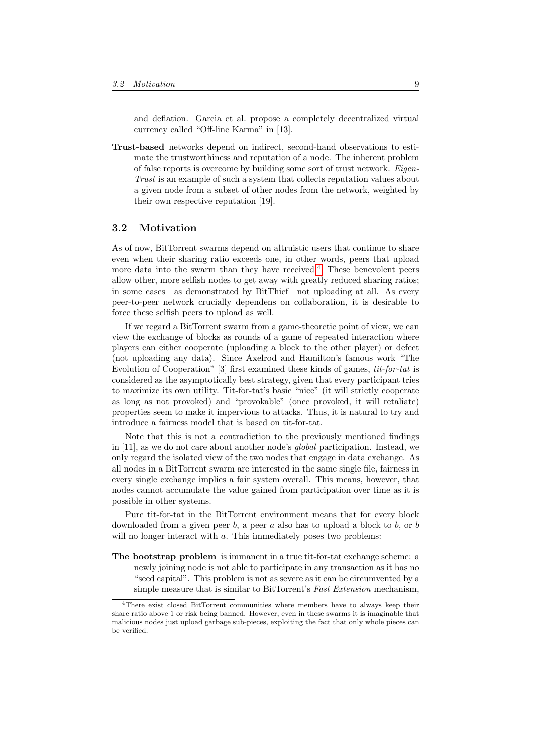and deflation. Garcia et al. propose a completely decentralized virtual currency called "Off-line Karma" in [13].

Trust-based networks depend on indirect, second-hand observations to estimate the trustworthiness and reputation of a node. The inherent problem of false reports is overcome by building some sort of trust network. Eigen-Trust is an example of such a system that collects reputation values about a given node from a subset of other nodes from the network, weighted by their own respective reputation [19].

## <span id="page-9-0"></span>3.2 Motivation

As of now, BitTorrent swarms depend on altruistic users that continue to share even when their sharing ratio exceeds one, in other words, peers that upload more data into the swarm than they have received.[4](#page-9-1) These benevolent peers allow other, more selfish nodes to get away with greatly reduced sharing ratios; in some cases—as demonstrated by BitThief—not uploading at all. As every peer-to-peer network crucially dependens on collaboration, it is desirable to force these selfish peers to upload as well.

If we regard a BitTorrent swarm from a game-theoretic point of view, we can view the exchange of blocks as rounds of a game of repeated interaction where players can either cooperate (uploading a block to the other player) or defect (not uploading any data). Since Axelrod and Hamilton's famous work "The Evolution of Cooperation" [3] first examined these kinds of games, tit-for-tat is considered as the asymptotically best strategy, given that every participant tries to maximize its own utility. Tit-for-tat's basic "nice" (it will strictly cooperate as long as not provoked) and "provokable" (once provoked, it will retaliate) properties seem to make it impervious to attacks. Thus, it is natural to try and introduce a fairness model that is based on tit-for-tat.

Note that this is not a contradiction to the previously mentioned findings in [11], as we do not care about another node's global participation. Instead, we only regard the isolated view of the two nodes that engage in data exchange. As all nodes in a BitTorrent swarm are interested in the same single file, fairness in every single exchange implies a fair system overall. This means, however, that nodes cannot accumulate the value gained from participation over time as it is possible in other systems.

Pure tit-for-tat in the BitTorrent environment means that for every block downloaded from a given peer  $b$ , a peer  $a$  also has to upload a block to  $b$ , or  $b$ will no longer interact with a. This immediately poses two problems:

The bootstrap problem is immanent in a true tit-for-tat exchange scheme: a newly joining node is not able to participate in any transaction as it has no "seed capital". This problem is not as severe as it can be circumvented by a simple measure that is similar to BitTorrent's Fast Extension mechanism,

<span id="page-9-1"></span><sup>4</sup>There exist closed BitTorrent communities where members have to always keep their share ratio above 1 or risk being banned. However, even in these swarms it is imaginable that malicious nodes just upload garbage sub-pieces, exploiting the fact that only whole pieces can be verified.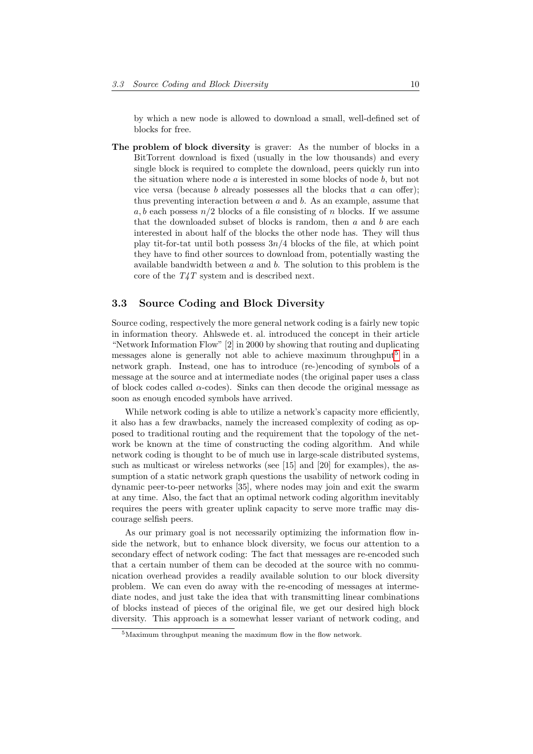by which a new node is allowed to download a small, well-defined set of blocks for free.

The problem of block diversity is graver: As the number of blocks in a BitTorrent download is fixed (usually in the low thousands) and every single block is required to complete the download, peers quickly run into the situation where node  $a$  is interested in some blocks of node  $b$ , but not vice versa (because  $b$  already possesses all the blocks that  $a$  can offer); thus preventing interaction between  $a$  and  $b$ . As an example, assume that a, b each possess  $n/2$  blocks of a file consisting of n blocks. If we assume that the downloaded subset of blocks is random, then  $a$  and  $b$  are each interested in about half of the blocks the other node has. They will thus play tit-for-tat until both possess  $3n/4$  blocks of the file, at which point they have to find other sources to download from, potentially wasting the available bandwidth between  $a$  and  $b$ . The solution to this problem is the core of the T4T system and is described next.

## <span id="page-10-0"></span>3.3 Source Coding and Block Diversity

Source coding, respectively the more general network coding is a fairly new topic in information theory. Ahlswede et. al. introduced the concept in their article "Network Information Flow" [2] in 2000 by showing that routing and duplicating messages alone is generally not able to achieve maximum throughput<sup>[5](#page-10-1)</sup> in a network graph. Instead, one has to introduce (re-)encoding of symbols of a message at the source and at intermediate nodes (the original paper uses a class of block codes called  $\alpha$ -codes). Sinks can then decode the original message as soon as enough encoded symbols have arrived.

While network coding is able to utilize a network's capacity more efficiently, it also has a few drawbacks, namely the increased complexity of coding as opposed to traditional routing and the requirement that the topology of the network be known at the time of constructing the coding algorithm. And while network coding is thought to be of much use in large-scale distributed systems, such as multicast or wireless networks (see [15] and [20] for examples), the assumption of a static network graph questions the usability of network coding in dynamic peer-to-peer networks [35], where nodes may join and exit the swarm at any time. Also, the fact that an optimal network coding algorithm inevitably requires the peers with greater uplink capacity to serve more traffic may discourage selfish peers.

As our primary goal is not necessarily optimizing the information flow inside the network, but to enhance block diversity, we focus our attention to a secondary effect of network coding: The fact that messages are re-encoded such that a certain number of them can be decoded at the source with no communication overhead provides a readily available solution to our block diversity problem. We can even do away with the re-encoding of messages at intermediate nodes, and just take the idea that with transmitting linear combinations of blocks instead of pieces of the original file, we get our desired high block diversity. This approach is a somewhat lesser variant of network coding, and

<span id="page-10-1"></span> $5$ Maximum throughput meaning the maximum flow in the flow network.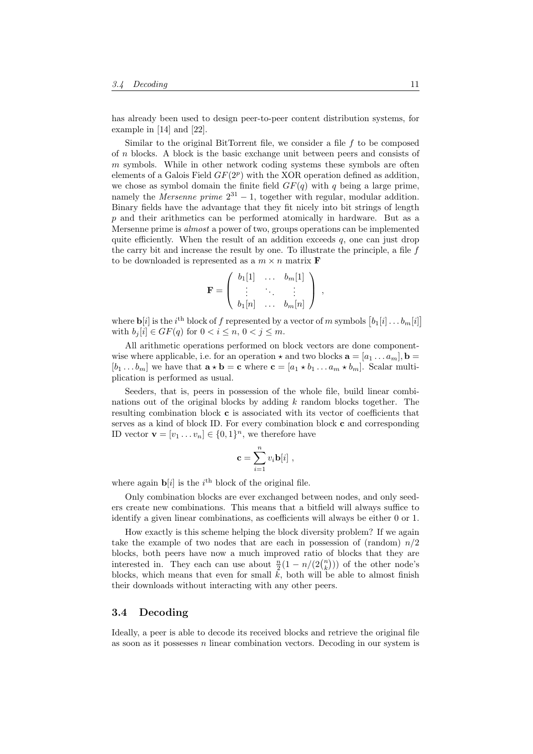has already been used to design peer-to-peer content distribution systems, for example in [14] and [22].

Similar to the original BitTorrent file, we consider a file  $f$  to be composed of n blocks. A block is the basic exchange unit between peers and consists of  $m$  symbols. While in other network coding systems these symbols are often elements of a Galois Field  $GF(2^p)$  with the XOR operation defined as addition, we chose as symbol domain the finite field  $GF(q)$  with q being a large prime, namely the *Mersenne prime*  $2^{31} - 1$ , together with regular, modular addition. Binary fields have the advantage that they fit nicely into bit strings of length p and their arithmetics can be performed atomically in hardware. But as a Mersenne prime is *almost* a power of two, groups operations can be implemented quite efficiently. When the result of an addition exceeds  $q$ , one can just drop the carry bit and increase the result by one. To illustrate the principle, a file  $f$ to be downloaded is represented as a  $m \times n$  matrix **F** 

$$
\mathbf{F} = \left( \begin{array}{ccc} b_1[1] & \dots & b_m[1] \\ \vdots & \ddots & \vdots \\ b_1[n] & \dots & b_m[n] \end{array} \right) ,
$$

where  $\mathbf{b}[i]$  is the  $i^{\text{th}}$  block of f represented by a vector of m symbols  $\big[b_1[i] \dots b_m[i]\big]$ with  $b_j[i] \in GF(q)$  for  $0 < i \leq n, 0 < j \leq m$ .

All arithmetic operations performed on block vectors are done componentwise where applicable, i.e. for an operation  $\star$  and two blocks  $\mathbf{a} = [a_1 \dots a_m], \mathbf{b} =$  $[b_1 \dots b_m]$  we have that  $\mathbf{a} \star \mathbf{b} = \mathbf{c}$  where  $\mathbf{c} = [a_1 \star b_1 \dots a_m \star b_m]$ . Scalar multiplication is performed as usual.

Seeders, that is, peers in possession of the whole file, build linear combinations out of the original blocks by adding  $k$  random blocks together. The resulting combination block c is associated with its vector of coefficients that serves as a kind of block ID. For every combination block c and corresponding ID vector  $\mathbf{v} = [v_1 \dots v_n] \in \{0, 1\}^n$ , we therefore have

$$
\mathbf{c} = \sum_{i=1}^{n} v_i \mathbf{b}[i] ,
$$

where again  $\mathbf{b}[i]$  is the  $i^{\text{th}}$  block of the original file.

Only combination blocks are ever exchanged between nodes, and only seeders create new combinations. This means that a bitfield will always suffice to identify a given linear combinations, as coefficients will always be either 0 or 1.

How exactly is this scheme helping the block diversity problem? If we again take the example of two nodes that are each in possession of (random)  $n/2$ blocks, both peers have now a much improved ratio of blocks that they are interested in. They each can use about  $\frac{n}{2}(1 - n/(2\binom{n}{k}))$  of the other node's blocks, which means that even for small  $k$ , both will be able to almost finish their downloads without interacting with any other peers.

## <span id="page-11-0"></span>3.4 Decoding

Ideally, a peer is able to decode its received blocks and retrieve the original file as soon as it possesses  $n$  linear combination vectors. Decoding in our system is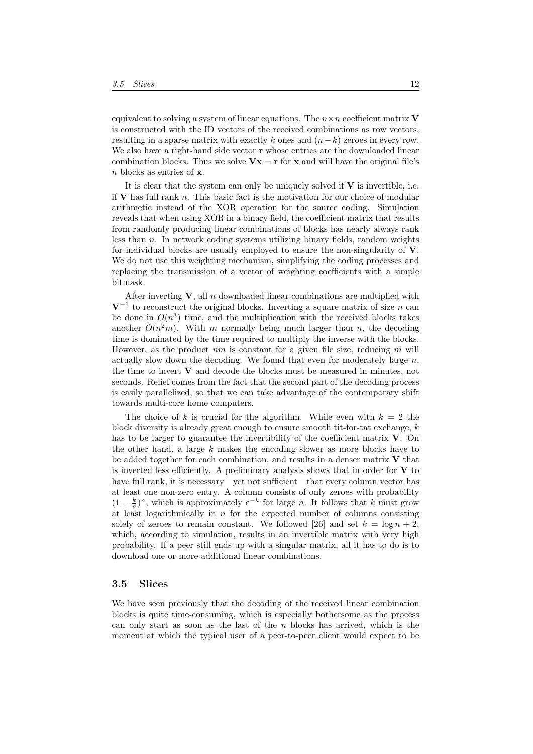equivalent to solving a system of linear equations. The  $n \times n$  coefficient matrix V is constructed with the ID vectors of the received combinations as row vectors, resulting in a sparse matrix with exactly k ones and  $(n-k)$  zeroes in every row. We also have a right-hand side vector  $\bf{r}$  whose entries are the downloaded linear combination blocks. Thus we solve  $Vx = r$  for x and will have the original file's  $n$  blocks as entries of  $x$ .

It is clear that the system can only be uniquely solved if  $V$  is invertible, i.e. if  $V$  has full rank  $n$ . This basic fact is the motivation for our choice of modular arithmetic instead of the XOR operation for the source coding. Simulation reveals that when using XOR in a binary field, the coefficient matrix that results from randomly producing linear combinations of blocks has nearly always rank less than n. In network coding systems utilizing binary fields, random weights for individual blocks are usually employed to ensure the non-singularity of  $V$ . We do not use this weighting mechanism, simplifying the coding processes and replacing the transmission of a vector of weighting coefficients with a simple bitmask.

After inverting  $V$ , all n downloaded linear combinations are multiplied with  $V^{-1}$  to reconstruct the original blocks. Inverting a square matrix of size n can be done in  $O(n^3)$  time, and the multiplication with the received blocks takes another  $O(n^2m)$ . With m normally being much larger than n, the decoding time is dominated by the time required to multiply the inverse with the blocks. However, as the product  $nm$  is constant for a given file size, reducing  $m$  will actually slow down the decoding. We found that even for moderately large  $n$ , the time to invert  $V$  and decode the blocks must be measured in minutes, not seconds. Relief comes from the fact that the second part of the decoding process is easily parallelized, so that we can take advantage of the contemporary shift towards multi-core home computers.

The choice of k is crucial for the algorithm. While even with  $k = 2$  the block diversity is already great enough to ensure smooth tit-for-tat exchange,  $k$ has to be larger to guarantee the invertibility of the coefficient matrix  $V$ . On the other hand, a large  $k$  makes the encoding slower as more blocks have to be added together for each combination, and results in a denser matrix  $V$  that is inverted less efficiently. A preliminary analysis shows that in order for  $V$  to have full rank, it is necessary—yet not sufficient—that every column vector has at least one non-zero entry. A column consists of only zeroes with probability  $(1 - \frac{k}{n})^n$ , which is approximately  $e^{-k}$  for large n. It follows that k must grow at least logarithmically in  $n$  for the expected number of columns consisting solely of zeroes to remain constant. We followed [26] and set  $k = \log n + 2$ , which, according to simulation, results in an invertible matrix with very high probability. If a peer still ends up with a singular matrix, all it has to do is to download one or more additional linear combinations.

## <span id="page-12-0"></span>3.5 Slices

We have seen previously that the decoding of the received linear combination blocks is quite time-consuming, which is especially bothersome as the process can only start as soon as the last of the  $n$  blocks has arrived, which is the moment at which the typical user of a peer-to-peer client would expect to be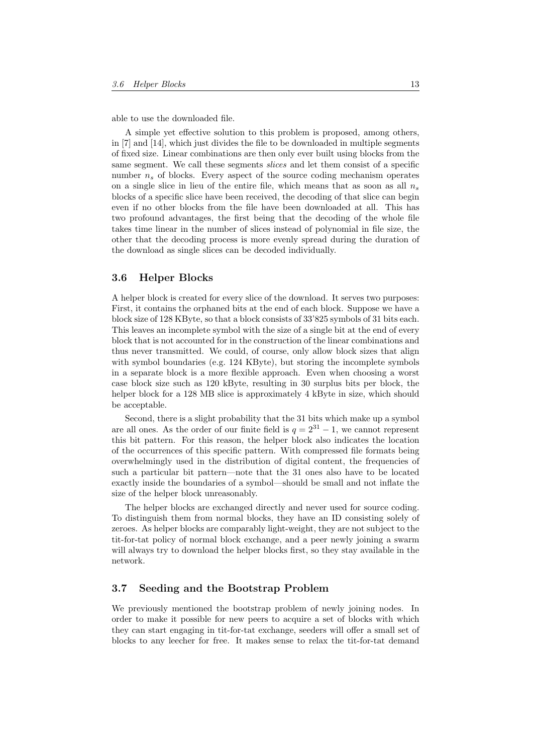able to use the downloaded file.

A simple yet effective solution to this problem is proposed, among others, in [7] and [14], which just divides the file to be downloaded in multiple segments of fixed size. Linear combinations are then only ever built using blocks from the same segment. We call these segments slices and let them consist of a specific number  $n<sub>s</sub>$  of blocks. Every aspect of the source coding mechanism operates on a single slice in lieu of the entire file, which means that as soon as all  $n_s$ blocks of a specific slice have been received, the decoding of that slice can begin even if no other blocks from the file have been downloaded at all. This has two profound advantages, the first being that the decoding of the whole file takes time linear in the number of slices instead of polynomial in file size, the other that the decoding process is more evenly spread during the duration of the download as single slices can be decoded individually.

## <span id="page-13-0"></span>3.6 Helper Blocks

A helper block is created for every slice of the download. It serves two purposes: First, it contains the orphaned bits at the end of each block. Suppose we have a block size of 128 KByte, so that a block consists of 33'825 symbols of 31 bits each. This leaves an incomplete symbol with the size of a single bit at the end of every block that is not accounted for in the construction of the linear combinations and thus never transmitted. We could, of course, only allow block sizes that align with symbol boundaries (e.g. 124 KByte), but storing the incomplete symbols in a separate block is a more flexible approach. Even when choosing a worst case block size such as 120 kByte, resulting in 30 surplus bits per block, the helper block for a 128 MB slice is approximately 4 kByte in size, which should be acceptable.

Second, there is a slight probability that the 31 bits which make up a symbol are all ones. As the order of our finite field is  $q = 2^{31} - 1$ , we cannot represent this bit pattern. For this reason, the helper block also indicates the location of the occurrences of this specific pattern. With compressed file formats being overwhelmingly used in the distribution of digital content, the frequencies of such a particular bit pattern—note that the 31 ones also have to be located exactly inside the boundaries of a symbol—should be small and not inflate the size of the helper block unreasonably.

The helper blocks are exchanged directly and never used for source coding. To distinguish them from normal blocks, they have an ID consisting solely of zeroes. As helper blocks are comparably light-weight, they are not subject to the tit-for-tat policy of normal block exchange, and a peer newly joining a swarm will always try to download the helper blocks first, so they stay available in the network.

## <span id="page-13-1"></span>3.7 Seeding and the Bootstrap Problem

We previously mentioned the bootstrap problem of newly joining nodes. In order to make it possible for new peers to acquire a set of blocks with which they can start engaging in tit-for-tat exchange, seeders will offer a small set of blocks to any leecher for free. It makes sense to relax the tit-for-tat demand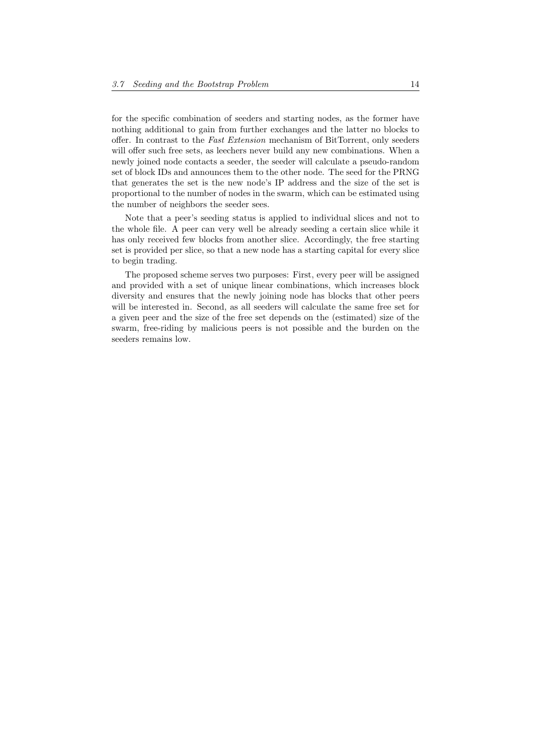for the specific combination of seeders and starting nodes, as the former have nothing additional to gain from further exchanges and the latter no blocks to offer. In contrast to the Fast Extension mechanism of BitTorrent, only seeders will offer such free sets, as leechers never build any new combinations. When a newly joined node contacts a seeder, the seeder will calculate a pseudo-random set of block IDs and announces them to the other node. The seed for the PRNG that generates the set is the new node's IP address and the size of the set is proportional to the number of nodes in the swarm, which can be estimated using the number of neighbors the seeder sees.

Note that a peer's seeding status is applied to individual slices and not to the whole file. A peer can very well be already seeding a certain slice while it has only received few blocks from another slice. Accordingly, the free starting set is provided per slice, so that a new node has a starting capital for every slice to begin trading.

The proposed scheme serves two purposes: First, every peer will be assigned and provided with a set of unique linear combinations, which increases block diversity and ensures that the newly joining node has blocks that other peers will be interested in. Second, as all seeders will calculate the same free set for a given peer and the size of the free set depends on the (estimated) size of the swarm, free-riding by malicious peers is not possible and the burden on the seeders remains low.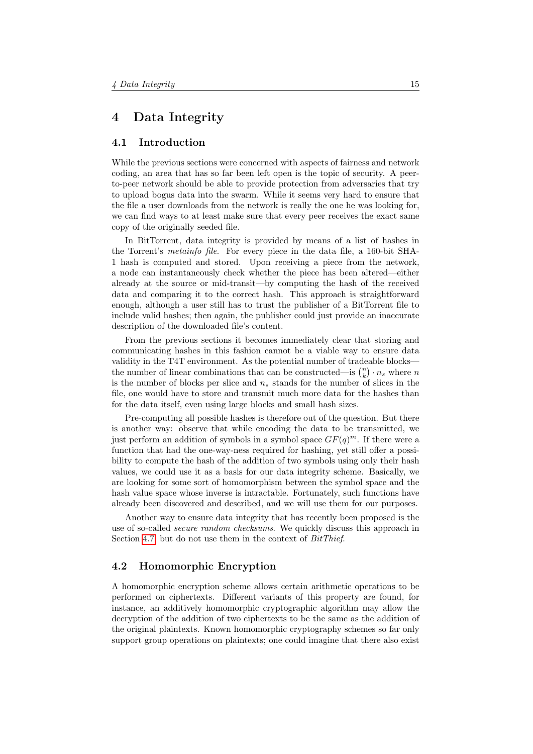## <span id="page-15-0"></span>4 Data Integrity

## <span id="page-15-1"></span>4.1 Introduction

While the previous sections were concerned with aspects of fairness and network coding, an area that has so far been left open is the topic of security. A peerto-peer network should be able to provide protection from adversaries that try to upload bogus data into the swarm. While it seems very hard to ensure that the file a user downloads from the network is really the one he was looking for, we can find ways to at least make sure that every peer receives the exact same copy of the originally seeded file.

In BitTorrent, data integrity is provided by means of a list of hashes in the Torrent's metainfo file. For every piece in the data file, a 160-bit SHA-1 hash is computed and stored. Upon receiving a piece from the network, a node can instantaneously check whether the piece has been altered—either already at the source or mid-transit—by computing the hash of the received data and comparing it to the correct hash. This approach is straightforward enough, although a user still has to trust the publisher of a BitTorrent file to include valid hashes; then again, the publisher could just provide an inaccurate description of the downloaded file's content.

From the previous sections it becomes immediately clear that storing and communicating hashes in this fashion cannot be a viable way to ensure data validity in the T4T environment. As the potential number of tradeable blocks the number of linear combinations that can be constructed—is  $\binom{n}{k} \cdot n_s$  where n is the number of blocks per slice and  $n<sub>s</sub>$  stands for the number of slices in the file, one would have to store and transmit much more data for the hashes than for the data itself, even using large blocks and small hash sizes.

Pre-computing all possible hashes is therefore out of the question. But there is another way: observe that while encoding the data to be transmitted, we just perform an addition of symbols in a symbol space  $GF(q)^m$ . If there were a function that had the one-way-ness required for hashing, yet still offer a possibility to compute the hash of the addition of two symbols using only their hash values, we could use it as a basis for our data integrity scheme. Basically, we are looking for some sort of homomorphism between the symbol space and the hash value space whose inverse is intractable. Fortunately, such functions have already been discovered and described, and we will use them for our purposes.

Another way to ensure data integrity that has recently been proposed is the use of so-called *secure random checksums*. We quickly discuss this approach in Section [4.7,](#page-24-0) but do not use them in the context of  $BitThief$ .

## <span id="page-15-2"></span>4.2 Homomorphic Encryption

A homomorphic encryption scheme allows certain arithmetic operations to be performed on ciphertexts. Different variants of this property are found, for instance, an additively homomorphic cryptographic algorithm may allow the decryption of the addition of two ciphertexts to be the same as the addition of the original plaintexts. Known homomorphic cryptography schemes so far only support group operations on plaintexts; one could imagine that there also exist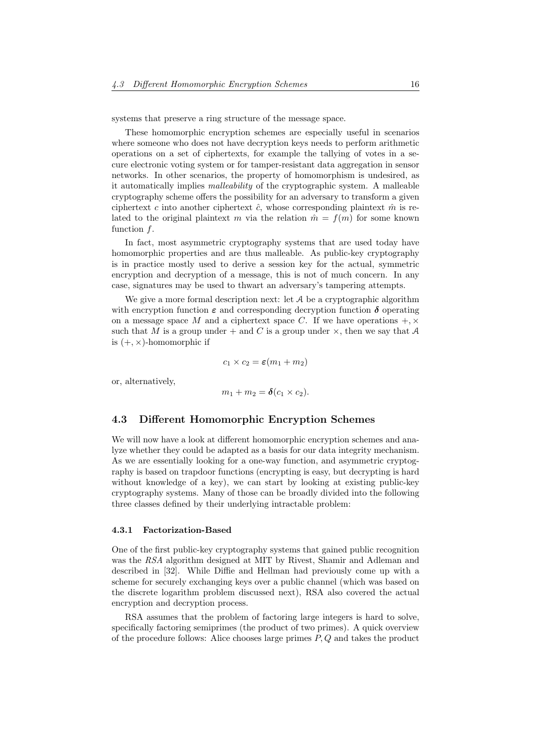systems that preserve a ring structure of the message space.

These homomorphic encryption schemes are especially useful in scenarios where someone who does not have decryption keys needs to perform arithmetic operations on a set of ciphertexts, for example the tallying of votes in a secure electronic voting system or for tamper-resistant data aggregation in sensor networks. In other scenarios, the property of homomorphism is undesired, as it automatically implies malleability of the cryptographic system. A malleable cryptography scheme offers the possibility for an adversary to transform a given ciphertext c into another ciphertext  $\hat{c}$ , whose corresponding plaintext  $\hat{m}$  is related to the original plaintext m via the relation  $\hat{m} = f(m)$  for some known function f.

In fact, most asymmetric cryptography systems that are used today have homomorphic properties and are thus malleable. As public-key cryptography is in practice mostly used to derive a session key for the actual, symmetric encryption and decryption of a message, this is not of much concern. In any case, signatures may be used to thwart an adversary's tampering attempts.

We give a more formal description next: let A be a cryptographic algorithm with encryption function  $\varepsilon$  and corresponding decryption function  $\delta$  operating on a message space M and a ciphertext space C. If we have operations  $+$ ,  $\times$ such that M is a group under  $+$  and C is a group under  $\times$ , then we say that A is  $(+, \times)$ -homomorphic if

$$
c_1 \times c_2 = \varepsilon(m_1 + m_2)
$$

or, alternatively,

$$
m_1+m_2=\boldsymbol{\delta}(c_1\times c_2).
$$

## <span id="page-16-0"></span>4.3 Different Homomorphic Encryption Schemes

We will now have a look at different homomorphic encryption schemes and analyze whether they could be adapted as a basis for our data integrity mechanism. As we are essentially looking for a one-way function, and asymmetric cryptography is based on trapdoor functions (encrypting is easy, but decrypting is hard without knowledge of a key), we can start by looking at existing public-key cryptography systems. Many of those can be broadly divided into the following three classes defined by their underlying intractable problem:

#### <span id="page-16-1"></span>4.3.1 Factorization-Based

One of the first public-key cryptography systems that gained public recognition was the RSA algorithm designed at MIT by Rivest, Shamir and Adleman and described in [32]. While Diffie and Hellman had previously come up with a scheme for securely exchanging keys over a public channel (which was based on the discrete logarithm problem discussed next), RSA also covered the actual encryption and decryption process.

RSA assumes that the problem of factoring large integers is hard to solve, specifically factoring semiprimes (the product of two primes). A quick overview of the procedure follows: Alice chooses large primes  $P, Q$  and takes the product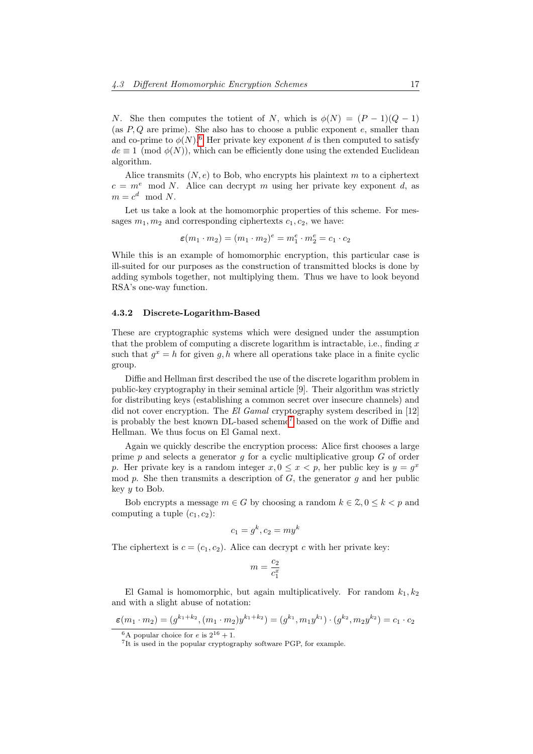N. She then computes the totient of N, which is  $\phi(N) = (P-1)(Q-1)$ (as  $P, Q$  are prime). She also has to choose a public exponent e, smaller than and co-prime to  $\phi(N)$ <sup>[6](#page-17-1)</sup>. Her private key exponent d is then computed to satisfy  $de \equiv 1 \pmod{\phi(N)}$ , which can be efficiently done using the extended Euclidean algorithm.

Alice transmits  $(N, e)$  to Bob, who encrypts his plaintext m to a ciphertext  $c = m^e \mod N$ . Alice can decrypt m using her private key exponent d, as  $m = c^d \mod N$ .

Let us take a look at the homomorphic properties of this scheme. For messages  $m_1, m_2$  and corresponding ciphertexts  $c_1, c_2$ , we have:

$$
\varepsilon(m_1\cdot m_2)=(m_1\cdot m_2)^e=m_1^e\cdot m_2^e=c_1\cdot c_2
$$

While this is an example of homomorphic encryption, this particular case is ill-suited for our purposes as the construction of transmitted blocks is done by adding symbols together, not multiplying them. Thus we have to look beyond RSA's one-way function.

#### <span id="page-17-0"></span>4.3.2 Discrete-Logarithm-Based

These are cryptographic systems which were designed under the assumption that the problem of computing a discrete logarithm is intractable, i.e., finding  $x$ such that  $g^x = h$  for given g, h where all operations take place in a finite cyclic group.

Diffie and Hellman first described the use of the discrete logarithm problem in public-key cryptography in their seminal article [9]. Their algorithm was strictly for distributing keys (establishing a common secret over insecure channels) and did not cover encryption. The El Gamal cryptography system described in [12] is probably the best known DL-based scheme[7](#page-17-2) based on the work of Diffie and Hellman. We thus focus on El Gamal next.

Again we quickly describe the encryption process: Alice first chooses a large prime p and selects a generator q for a cyclic multiplicative group  $G$  of order p. Her private key is a random integer  $x, 0 \le x < p$ , her public key is  $y = g^x$ mod p. She then transmits a description of  $G$ , the generator q and her public key y to Bob.

Bob encrypts a message  $m \in G$  by choosing a random  $k \in \mathcal{Z}, 0 \leq k < p$  and computing a tuple  $(c_1, c_2)$ :

$$
c_1 = g^k, c_2 = m y^k
$$

The ciphertext is  $c = (c_1, c_2)$ . Alice can decrypt c with her private key:

$$
m=\frac{c_2}{c_1^x}
$$

El Gamal is homomorphic, but again multiplicatively. For random  $k_1, k_2$ and with a slight abuse of notation:

$$
\varepsilon(m_1 \cdot m_2) = (g^{k_1 + k_2}, (m_1 \cdot m_2) y^{k_1 + k_2}) = (g^{k_1}, m_1 y^{k_1}) \cdot (g^{k_2}, m_2 y^{k_2}) = c_1 \cdot c_2
$$

<span id="page-17-1"></span><sup>&</sup>lt;sup>6</sup>A popular choice for *e* is  $2^{16} + 1$ .

<span id="page-17-2"></span><sup>&</sup>lt;sup>7</sup>It is used in the popular cryptography software PGP, for example.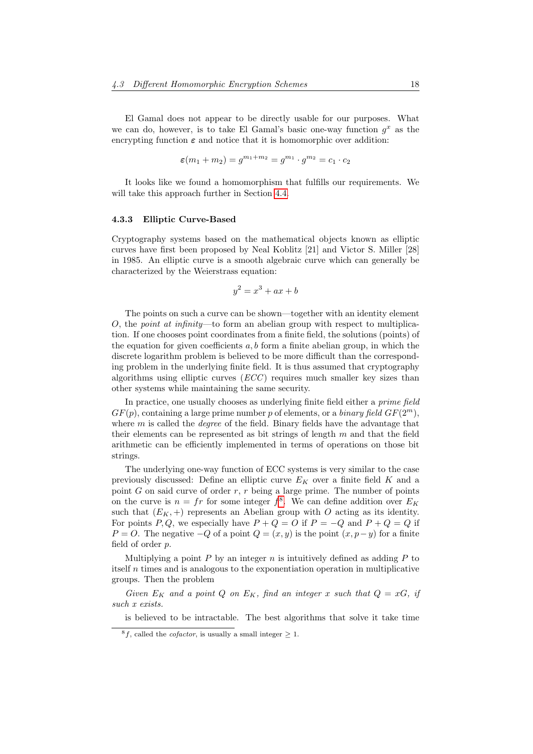El Gamal does not appear to be directly usable for our purposes. What we can do, however, is to take El Gamal's basic one-way function  $g^x$  as the encrypting function  $\varepsilon$  and notice that it is homomorphic over addition:

$$
\varepsilon(m_1 + m_2) = g^{m_1 + m_2} = g^{m_1} \cdot g^{m_2} = c_1 \cdot c_2
$$

It looks like we found a homomorphism that fulfills our requirements. We will take this approach further in Section [4.4.](#page-19-0)

### <span id="page-18-0"></span>4.3.3 Elliptic Curve-Based

Cryptography systems based on the mathematical objects known as elliptic curves have first been proposed by Neal Koblitz [21] and Victor S. Miller [28] in 1985. An elliptic curve is a smooth algebraic curve which can generally be characterized by the Weierstrass equation:

$$
y^2 = x^3 + ax + b
$$

The points on such a curve can be shown—together with an identity element O, the *point at infinity*—to form an abelian group with respect to multiplication. If one chooses point coordinates from a finite field, the solutions (points) of the equation for given coefficients  $a, b$  form a finite abelian group, in which the discrete logarithm problem is believed to be more difficult than the corresponding problem in the underlying finite field. It is thus assumed that cryptography algorithms using elliptic curves  $(ECC)$  requires much smaller key sizes than other systems while maintaining the same security.

In practice, one usually chooses as underlying finite field either a *prime field*  $GF(p)$ , containing a large prime number p of elements, or a *binary field*  $GF(2<sup>m</sup>)$ , where  $m$  is called the *degree* of the field. Binary fields have the advantage that their elements can be represented as bit strings of length  $m$  and that the field arithmetic can be efficiently implemented in terms of operations on those bit strings.

The underlying one-way function of ECC systems is very similar to the case previously discussed: Define an elliptic curve  $E_K$  over a finite field  $K$  and a point  $G$  on said curve of order  $r, r$  being a large prime. The number of points on the curve is  $n = fr$  for some integer  $f^8$  $f^8$ . We can define addition over  $E_K$ such that  $(E_K, +)$  represents an Abelian group with O acting as its identity. For points P, Q, we especially have  $P + Q = O$  if  $P = -Q$  and  $P + Q = Q$  if  $P = O$ . The negative  $-Q$  of a point  $Q = (x, y)$  is the point  $(x, p - y)$  for a finite field of order p.

Multiplying a point  $P$  by an integer  $n$  is intuitively defined as adding  $P$  to itself n times and is analogous to the exponentiation operation in multiplicative groups. Then the problem

Given  $E_K$  and a point Q on  $E_K$ , find an integer x such that  $Q = xG$ , if such x exists.

is believed to be intractable. The best algorithms that solve it take time

<span id="page-18-1"></span><sup>&</sup>lt;sup>8</sup>f, called the *cofactor*, is usually a small integer  $\geq$  1.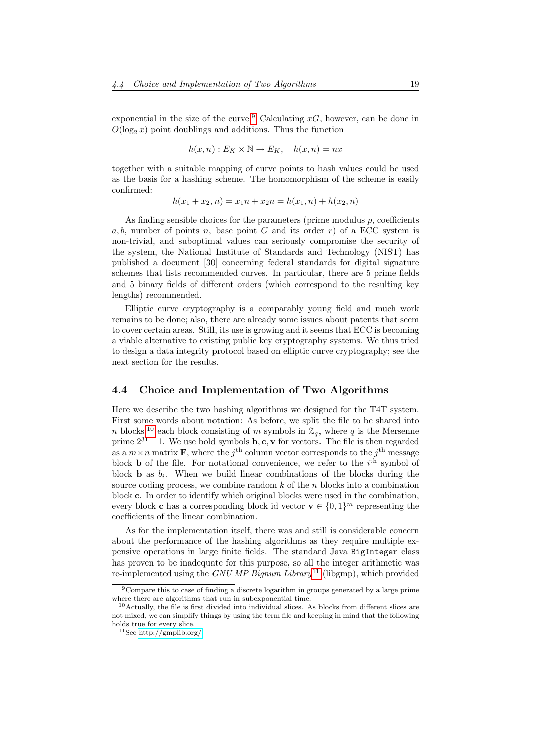exponential in the size of the curve.<sup>[9](#page-19-1)</sup> Calculating  $xG$ , however, can be done in  $O(\log_2 x)$  point doublings and additions. Thus the function

$$
h(x, n) : E_K \times \mathbb{N} \to E_K, \quad h(x, n) = nx
$$

together with a suitable mapping of curve points to hash values could be used as the basis for a hashing scheme. The homomorphism of the scheme is easily confirmed:

$$
h(x_1 + x_2, n) = x_1 n + x_2 n = h(x_1, n) + h(x_2, n)
$$

As finding sensible choices for the parameters (prime modulus  $p$ , coefficients a, b, number of points n, base point G and its order r) of a ECC system is non-trivial, and suboptimal values can seriously compromise the security of the system, the National Institute of Standards and Technology (NIST) has published a document [30] concerning federal standards for digital signature schemes that lists recommended curves. In particular, there are 5 prime fields and 5 binary fields of different orders (which correspond to the resulting key lengths) recommended.

Elliptic curve cryptography is a comparably young field and much work remains to be done; also, there are already some issues about patents that seem to cover certain areas. Still, its use is growing and it seems that ECC is becoming a viable alternative to existing public key cryptography systems. We thus tried to design a data integrity protocol based on elliptic curve cryptography; see the next section for the results.

## <span id="page-19-0"></span>4.4 Choice and Implementation of Two Algorithms

Here we describe the two hashing algorithms we designed for the T4T system. First some words about notation: As before, we split the file to be shared into n blocks,<sup>[10](#page-19-2)</sup> each block consisting of m symbols in  $\mathcal{Z}_q$ , where q is the Mersenne prime  $2^{31} - 1$ . We use bold symbols **b**, **c**, **v** for vectors. The file is then regarded as a  $m \times n$  matrix **F**, where the  $j^{\text{th}}$  column vector corresponds to the  $j^{\text{th}}$  message block **b** of the file. For notational convenience, we refer to the  $i<sup>th</sup>$  symbol of block **b** as  $b_i$ . When we build linear combinations of the blocks during the source coding process, we combine random  $k$  of the  $n$  blocks into a combination block c. In order to identify which original blocks were used in the combination, every block **c** has a corresponding block id vector  $\mathbf{v} \in \{0,1\}^m$  representing the coefficients of the linear combination.

As for the implementation itself, there was and still is considerable concern about the performance of the hashing algorithms as they require multiple expensive operations in large finite fields. The standard Java BigInteger class has proven to be inadequate for this purpose, so all the integer arithmetic was re-implemented using the GNU MP Bignum Library<sup>[11](#page-19-3)</sup> (libgmp), which provided

<span id="page-19-1"></span><sup>9</sup>Compare this to case of finding a discrete logarithm in groups generated by a large prime where there are algorithms that run in subexponential time.

<span id="page-19-2"></span> $10$ Actually, the file is first divided into individual slices. As blocks from different slices are not mixed, we can simplify things by using the term file and keeping in mind that the following holds true for every slice.

<span id="page-19-3"></span> $^{11}\mathrm{See}$ http://gmplib.org/.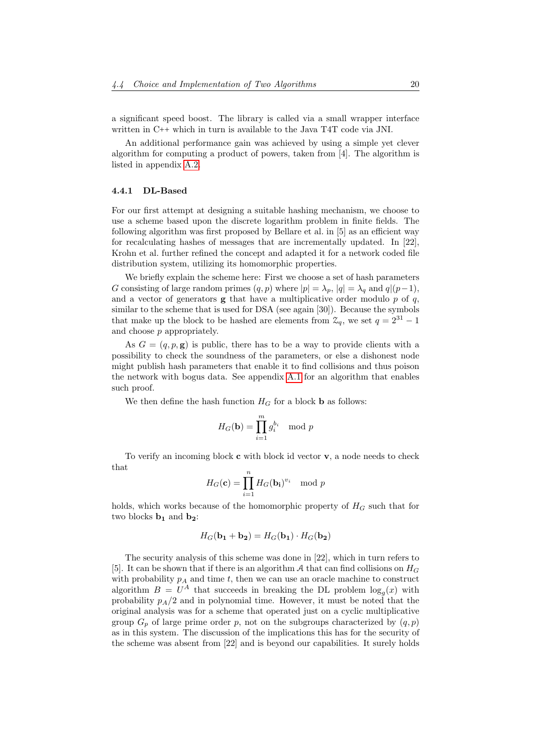a significant speed boost. The library is called via a small wrapper interface written in C++ which in turn is available to the Java T4T code via JNI.

An additional performance gain was achieved by using a simple yet clever algorithm for computing a product of powers, taken from [4]. The algorithm is listed in appendix [A.2.](#page-33-0)

### <span id="page-20-0"></span>4.4.1 DL-Based

For our first attempt at designing a suitable hashing mechanism, we choose to use a scheme based upon the discrete logarithm problem in finite fields. The following algorithm was first proposed by Bellare et al. in [5] as an efficient way for recalculating hashes of messages that are incrementally updated. In [22], Krohn et al. further refined the concept and adapted it for a network coded file distribution system, utilizing its homomorphic properties.

We briefly explain the scheme here: First we choose a set of hash parameters G consisting of large random primes  $(q, p)$  where  $|p| = \lambda_p$ ,  $|q| = \lambda_q$  and  $q|(p-1)$ , and a vector of generators  $g$  that have a multiplicative order modulo  $p$  of  $q$ , similar to the scheme that is used for DSA (see again [30]). Because the symbols that make up the block to be hashed are elements from  $\mathcal{Z}_q$ , we set  $q = 2^{31} - 1$ and choose p appropriately.

As  $G = (q, p, g)$  is public, there has to be a way to provide clients with a possibility to check the soundness of the parameters, or else a dishonest node might publish hash parameters that enable it to find collisions and thus poison the network with bogus data. See appendix [A.1](#page-32-1) for an algorithm that enables such proof.

We then define the hash function  $H_G$  for a block **b** as follows:

$$
H_G(\mathbf{b}) = \prod_{i=1}^m g_i^{b_i} \mod p
$$

To verify an incoming block  $\bf{c}$  with block id vector  $\bf{v}$ , a node needs to check that

$$
H_G(\mathbf{c}) = \prod_{i=1}^n H_G(\mathbf{b_i})^{v_i} \mod p
$$

holds, which works because of the homomorphic property of  $H_G$  such that for two blocks  $\mathbf{b}_1$  and  $\mathbf{b}_2$ :

$$
H_G(\mathbf{b_1} + \mathbf{b_2}) = H_G(\mathbf{b_1}) \cdot H_G(\mathbf{b_2})
$$

The security analysis of this scheme was done in [22], which in turn refers to [5]. It can be shown that if there is an algorithm A that can find collisions on  $H_G$ with probability  $p_A$  and time t, then we can use an oracle machine to construct algorithm  $B = U^A$  that succeeds in breaking the DL problem  $\log_g(x)$  with probability  $p_A/2$  and in polynomial time. However, it must be noted that the original analysis was for a scheme that operated just on a cyclic multiplicative group  $G_p$  of large prime order p, not on the subgroups characterized by  $(q, p)$ as in this system. The discussion of the implications this has for the security of the scheme was absent from [22] and is beyond our capabilities. It surely holds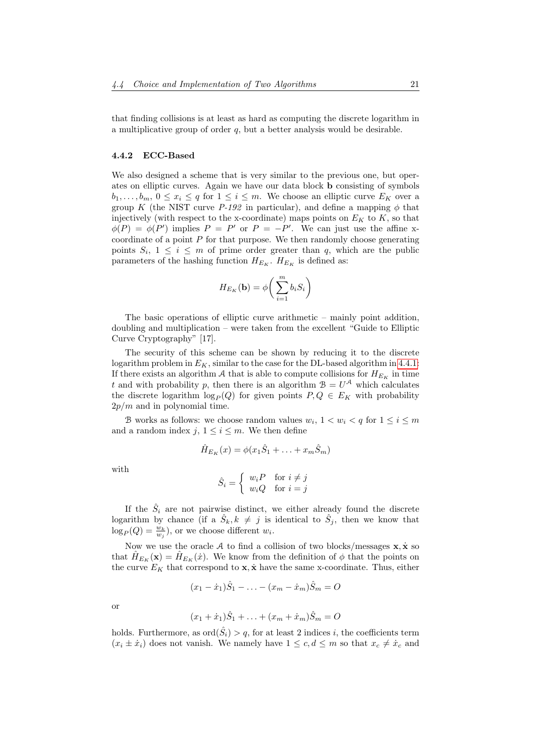that finding collisions is at least as hard as computing the discrete logarithm in a multiplicative group of order  $q$ , but a better analysis would be desirable.

#### <span id="page-21-0"></span>4.4.2 ECC-Based

We also designed a scheme that is very similar to the previous one, but operates on elliptic curves. Again we have our data block b consisting of symbols  $b_1, \ldots, b_m, 0 \leq x_i \leq q$  for  $1 \leq i \leq m$ . We choose an elliptic curve  $E_K$  over a group K (the NIST curve  $P-192$  in particular), and define a mapping  $\phi$  that injectively (with respect to the x-coordinate) maps points on  $E_K$  to  $K$ , so that  $\phi(P) = \phi(P')$  implies  $P = P'$  or  $P = -P'$ . We can just use the affine xcoordinate of a point  $P$  for that purpose. We then randomly choose generating points  $S_i$ ,  $1 \leq i \leq m$  of prime order greater than q, which are the public parameters of the hashing function  $H_{E_K}$ .  $H_{E_K}$  is defined as:

$$
H_{E_K}(\mathbf{b}) = \phi\bigg(\sum_{i=1}^m b_i S_i\bigg)
$$

The basic operations of elliptic curve arithmetic – mainly point addition, doubling and multiplication – were taken from the excellent "Guide to Elliptic Curve Cryptography" [17].

The security of this scheme can be shown by reducing it to the discrete logarithm problem in  $E_K$ , similar to the case for the DL-based algorithm in [4.4.1:](#page-20-0) If there exists an algorithm A that is able to compute collisions for  $H_{E_K}$  in time t and with probability p, then there is an algorithm  $B = U^{\mathcal{A}}$  which calculates the discrete logarithm  $\log_P (Q)$  for given points  $P, Q \in E_K$  with probability  $2p/m$  and in polynomial time.

B works as follows: we choose random values  $w_i$ ,  $1 < w_i < q$  for  $1 \le i \le m$ and a random index j,  $1 \leq i \leq m$ . We then define

$$
\hat{H}_{E_K}(x) = \phi(x_1\hat{S}_1 + \ldots + x_m\hat{S}_m)
$$

with

$$
\hat{S}_i = \begin{cases} w_i P & \text{for } i \neq j \\ w_i Q & \text{for } i = j \end{cases}
$$

If the  $\hat{S}_i$  are not pairwise distinct, we either already found the discrete logarithm by chance (if a  $\hat{S}_k, k \neq j$  is identical to  $\hat{S}_j$ , then we know that  $\log_P(Q) = \frac{w_k}{w_j}$ , or we choose different  $w_i$ .

Now we use the oracle A to find a collision of two blocks/messages  $x, \dot{x}$  so that  $H_{E_K}(\mathbf{x}) = H_{E_K}(\dot{x})$ . We know from the definition of  $\phi$  that the points on the curve  $E_K$  that correspond to  $\mathbf{x}, \dot{\mathbf{x}}$  have the same x-coordinate. Thus, either

$$
(x_1 - \dot{x}_1)\hat{S}_1 - \ldots - (x_m - \dot{x}_m)\hat{S}_m = O
$$

or

$$
(x_1 + \dot{x}_1)\hat{S}_1 + \ldots + (x_m + \dot{x}_m)\hat{S}_m = O
$$

holds. Furthermore, as  $\text{ord}(\hat{S}_i) > q$ , for at least 2 indices i, the coefficients term  $(x_i \pm \dot{x}_i)$  does not vanish. We namely have  $1 \leq c, d \leq m$  so that  $x_c \neq \dot{x}_c$  and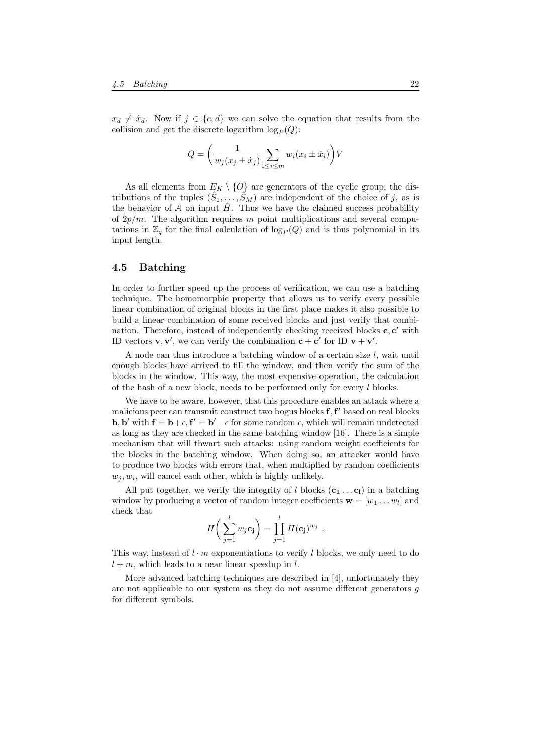$x_d \neq \dot{x}_d$ . Now if  $j \in \{c, d\}$  we can solve the equation that results from the collision and get the discrete logarithm  $\log_P (Q)$ :

$$
Q = \left(\frac{1}{w_j(x_j \pm \dot{x}_j)}\sum_{1 \leq i \leq m} w_i(x_i \pm \dot{x}_i)\right) V
$$

As all elements from  $E_K \setminus \{O\}$  are generators of the cyclic group, the distributions of the tuples  $(\hat{S}_1, \ldots, \hat{S}_M)$  are independent of the choice of j, as is the behavior of A on input  $H$ . Thus we have the claimed success probability of  $2p/m$ . The algorithm requires m point multiplications and several computations in  $\mathbb{Z}_q$  for the final calculation of  $\log_P (Q)$  and is thus polynomial in its input length.

## <span id="page-22-0"></span>4.5 Batching

In order to further speed up the process of verification, we can use a batching technique. The homomorphic property that allows us to verify every possible linear combination of original blocks in the first place makes it also possible to build a linear combination of some received blocks and just verify that combination. Therefore, instead of independently checking received blocks  $c, c'$  with ID vectors  $\mathbf{v}, \mathbf{v}'$ , we can verify the combination  $\mathbf{c} + \mathbf{c}'$  for ID  $\mathbf{v} + \mathbf{v}'$ .

A node can thus introduce a batching window of a certain size l, wait until enough blocks have arrived to fill the window, and then verify the sum of the blocks in the window. This way, the most expensive operation, the calculation of the hash of a new block, needs to be performed only for every l blocks.

We have to be aware, however, that this procedure enables an attack where a malicious peer can transmit construct two bogus blocks  $f, f'$  based on real blocks **b**, **b'** with  $f = b + \epsilon$ ,  $f' = b' - \epsilon$  for some random  $\epsilon$ , which will remain undetected as long as they are checked in the same batching window [16]. There is a simple mechanism that will thwart such attacks: using random weight coefficients for the blocks in the batching window. When doing so, an attacker would have to produce two blocks with errors that, when multiplied by random coefficients  $w_j, w_i$ , will cancel each other, which is highly unlikely.

All put together, we verify the integrity of l blocks  $(c_1 \ldots c_l)$  in a batching window by producing a vector of random integer coefficients  $\mathbf{w} = [w_1 \dots w_l]$  and check that

$$
H\bigg(\sum_{j=1}^l w_j \mathbf{c_j}\bigg) = \prod_{j=1}^l H(\mathbf{c_j})^{w_j} .
$$

This way, instead of  $l \cdot m$  exponentiations to verify l blocks, we only need to do  $l + m$ , which leads to a near linear speedup in l.

More advanced batching techniques are described in [4], unfortunately they are not applicable to our system as they do not assume different generators g for different symbols.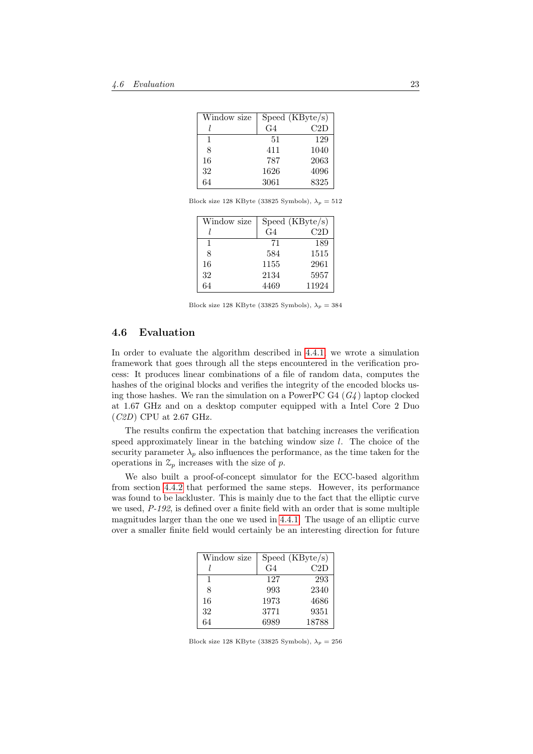| Window size |      | Speed (KByte/s) |
|-------------|------|-----------------|
|             | G4   | C2D             |
| 1           | 51   | 129             |
| 8           | 411  | 1040            |
| 16          | 787  | 2063            |
| 32          | 1626 | 4096            |
| 64          | 3061 | 8325            |

Block size 128 KByte (33825 Symbols),  $\lambda_p = 512$ 

| Window size |                | $\overline{\text{Speed}}$ (KByte/s) |
|-------------|----------------|-------------------------------------|
|             | G <sub>4</sub> | C2D                                 |
| 1           | 71             | 189                                 |
| 8           | 584            | 1515                                |
| 16          | 1155           | 2961                                |
| 32          | 2134           | 5957                                |
| 64          | 4469           | 11924                               |

Block size 128 KByte (33825 Symbols),  $\lambda_p=384$ 

## <span id="page-23-0"></span>4.6 Evaluation

In order to evaluate the algorithm described in [4.4.1,](#page-20-0) we wrote a simulation framework that goes through all the steps encountered in the verification process: It produces linear combinations of a file of random data, computes the hashes of the original blocks and verifies the integrity of the encoded blocks using those hashes. We ran the simulation on a PowerPC G4  $(G_4)$  laptop clocked at 1.67 GHz and on a desktop computer equipped with a Intel Core 2 Duo (C2D) CPU at 2.67 GHz.

The results confirm the expectation that batching increases the verification speed approximately linear in the batching window size l. The choice of the security parameter  $\lambda_p$  also influences the performance, as the time taken for the operations in  $\mathcal{Z}_p$  increases with the size of p.

We also built a proof-of-concept simulator for the ECC-based algorithm from section [4.4.2](#page-21-0) that performed the same steps. However, its performance was found to be lackluster. This is mainly due to the fact that the elliptic curve we used,  $P-192$ , is defined over a finite field with an order that is some multiple magnitudes larger than the one we used in [4.4.1.](#page-20-0) The usage of an elliptic curve over a smaller finite field would certainly be an interesting direction for future

| Window size |      | Speed (KByte/s) |
|-------------|------|-----------------|
|             | G4   | C2D             |
| 1           | 127  | 293             |
| 8           | 993  | 2340            |
| 16          | 1973 | 4686            |
| 32          | 3771 | 9351            |
| 64          | 6989 | 18788           |

Block size 128 KByte (33825 Symbols),  $\lambda_p = 256$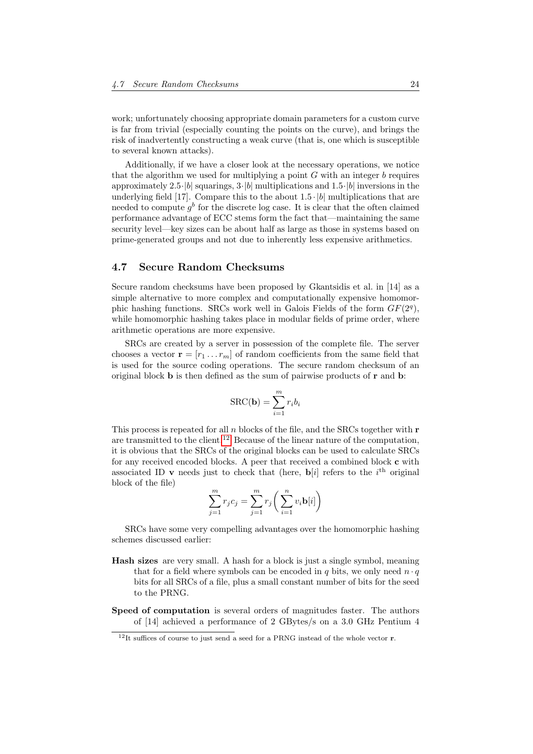work; unfortunately choosing appropriate domain parameters for a custom curve is far from trivial (especially counting the points on the curve), and brings the risk of inadvertently constructing a weak curve (that is, one which is susceptible to several known attacks).

Additionally, if we have a closer look at the necessary operations, we notice that the algorithm we used for multiplying a point  $G$  with an integer  $b$  requires approximately 2.5 $|b|$  squarings,  $3\cdot|b|$  multiplications and  $1.5\cdot|b|$  inversions in the underlying field [17]. Compare this to the about  $1.5 \cdot |b|$  multiplications that are needed to compute  $g^b$  for the discrete log case. It is clear that the often claimed performance advantage of ECC stems form the fact that—maintaining the same security level—key sizes can be about half as large as those in systems based on prime-generated groups and not due to inherently less expensive arithmetics.

## <span id="page-24-0"></span>4.7 Secure Random Checksums

Secure random checksums have been proposed by Gkantsidis et al. in [14] as a simple alternative to more complex and computationally expensive homomorphic hashing functions. SRCs work well in Galois Fields of the form  $GF(2<sup>q</sup>)$ , while homomorphic hashing takes place in modular fields of prime order, where arithmetic operations are more expensive.

SRCs are created by a server in possession of the complete file. The server chooses a vector  $\mathbf{r} = [r_1 \dots r_m]$  of random coefficients from the same field that is used for the source coding operations. The secure random checksum of an original block b is then defined as the sum of pairwise products of r and b:

$$
SRC(\mathbf{b}) = \sum_{i=1}^{m} r_i b_i
$$

This process is repeated for all  $n$  blocks of the file, and the SRCs together with  $r$ are transmitted to the client.<sup>[12](#page-24-1)</sup> Because of the linear nature of the computation, it is obvious that the SRCs of the original blocks can be used to calculate SRCs for any received encoded blocks. A peer that received a combined block c with associated ID v needs just to check that (here,  $\mathbf{b}[i]$  refers to the  $i^{\text{th}}$  original block of the file)

$$
\sum_{j=1}^{m} r_j c_j = \sum_{j=1}^{m} r_j \left( \sum_{i=1}^{n} v_i \mathbf{b}[i] \right)
$$

SRCs have some very compelling advantages over the homomorphic hashing schemes discussed earlier:

- Hash sizes are very small. A hash for a block is just a single symbol, meaning that for a field where symbols can be encoded in q bits, we only need  $n \cdot q$ bits for all SRCs of a file, plus a small constant number of bits for the seed to the PRNG.
- Speed of computation is several orders of magnitudes faster. The authors of [14] achieved a performance of 2 GBytes/s on a 3.0 GHz Pentium 4

<span id="page-24-1"></span> $12$ It suffices of course to just send a seed for a PRNG instead of the whole vector r.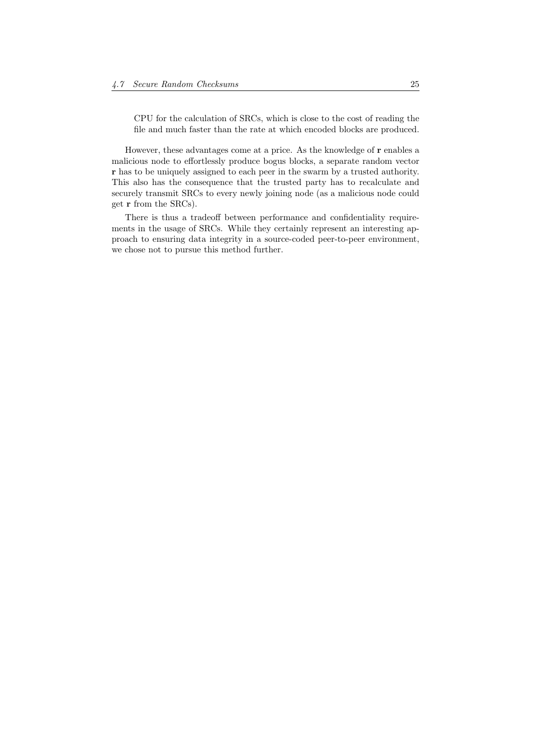CPU for the calculation of SRCs, which is close to the cost of reading the file and much faster than the rate at which encoded blocks are produced.

However, these advantages come at a price. As the knowledge of r enables a malicious node to effortlessly produce bogus blocks, a separate random vector r has to be uniquely assigned to each peer in the swarm by a trusted authority. This also has the consequence that the trusted party has to recalculate and securely transmit SRCs to every newly joining node (as a malicious node could get r from the SRCs).

There is thus a tradeoff between performance and confidentiality requirements in the usage of SRCs. While they certainly represent an interesting approach to ensuring data integrity in a source-coded peer-to-peer environment, we chose not to pursue this method further.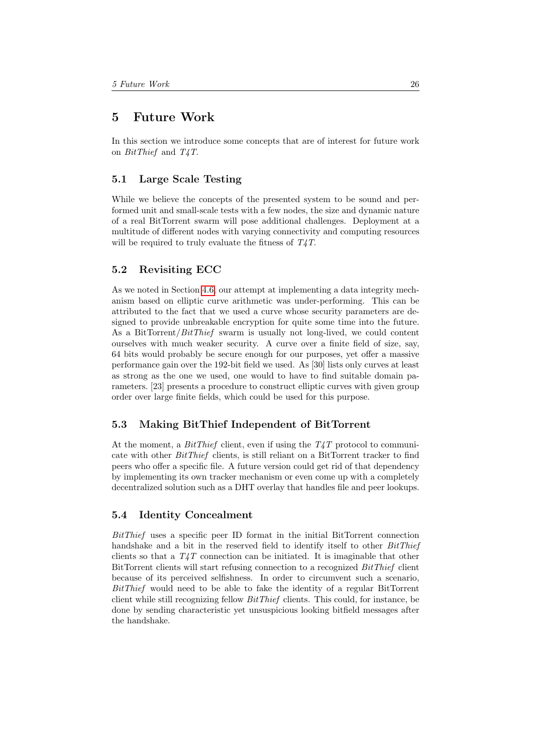## <span id="page-26-0"></span>5 Future Work

In this section we introduce some concepts that are of interest for future work on BitThief and T4T.

## <span id="page-26-1"></span>5.1 Large Scale Testing

While we believe the concepts of the presented system to be sound and performed unit and small-scale tests with a few nodes, the size and dynamic nature of a real BitTorrent swarm will pose additional challenges. Deployment at a multitude of different nodes with varying connectivity and computing resources will be required to truly evaluate the fitness of  $T_4T$ .

## <span id="page-26-2"></span>5.2 Revisiting ECC

As we noted in Section [4.6,](#page-23-0) our attempt at implementing a data integrity mechanism based on elliptic curve arithmetic was under-performing. This can be attributed to the fact that we used a curve whose security parameters are designed to provide unbreakable encryption for quite some time into the future. As a BitTorrent/ $BitThief$  swarm is usually not long-lived, we could content ourselves with much weaker security. A curve over a finite field of size, say, 64 bits would probably be secure enough for our purposes, yet offer a massive performance gain over the 192-bit field we used. As [30] lists only curves at least as strong as the one we used, one would to have to find suitable domain parameters. [23] presents a procedure to construct elliptic curves with given group order over large finite fields, which could be used for this purpose.

## <span id="page-26-3"></span>5.3 Making BitThief Independent of BitTorrent

At the moment, a BitThief client, even if using the  $T_{4}T$  protocol to communicate with other BitThief clients, is still reliant on a BitTorrent tracker to find peers who offer a specific file. A future version could get rid of that dependency by implementing its own tracker mechanism or even come up with a completely decentralized solution such as a DHT overlay that handles file and peer lookups.

## <span id="page-26-4"></span>5.4 Identity Concealment

BitThief uses a specific peer ID format in the initial BitTorrent connection handshake and a bit in the reserved field to identify itself to other *BitThief* clients so that a  $T_4T$  connection can be initiated. It is imaginable that other BitTorrent clients will start refusing connection to a recognized BitThief client because of its perceived selfishness. In order to circumvent such a scenario, BitThief would need to be able to fake the identity of a regular BitTorrent client while still recognizing fellow BitThief clients. This could, for instance, be done by sending characteristic yet unsuspicious looking bitfield messages after the handshake.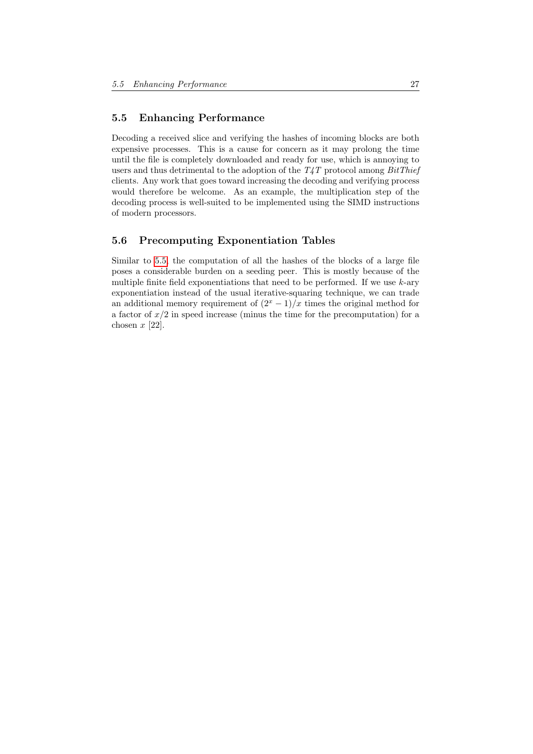## <span id="page-27-0"></span>5.5 Enhancing Performance

Decoding a received slice and verifying the hashes of incoming blocks are both expensive processes. This is a cause for concern as it may prolong the time until the file is completely downloaded and ready for use, which is annoying to users and thus detrimental to the adoption of the  $T_4T$  protocol among  $BitThief$ clients. Any work that goes toward increasing the decoding and verifying process would therefore be welcome. As an example, the multiplication step of the decoding process is well-suited to be implemented using the SIMD instructions of modern processors.

## <span id="page-27-1"></span>5.6 Precomputing Exponentiation Tables

Similar to [5.5,](#page-27-0) the computation of all the hashes of the blocks of a large file poses a considerable burden on a seeding peer. This is mostly because of the multiple finite field exponentiations that need to be performed. If we use  $k$ -ary exponentiation instead of the usual iterative-squaring technique, we can trade an additional memory requirement of  $(2<sup>x</sup> - 1)/x$  times the original method for a factor of  $x/2$  in speed increase (minus the time for the precomputation) for a chosen  $x$  [22].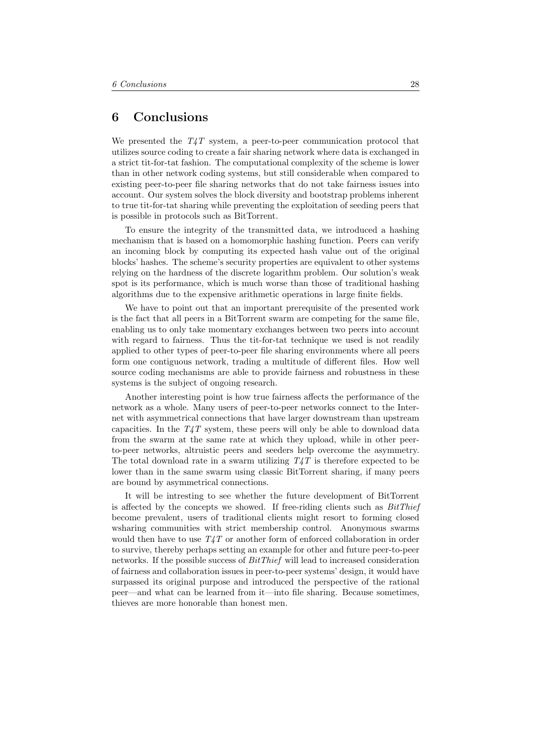## <span id="page-28-0"></span>6 Conclusions

We presented the  $T_{4}T$  system, a peer-to-peer communication protocol that utilizes source coding to create a fair sharing network where data is exchanged in a strict tit-for-tat fashion. The computational complexity of the scheme is lower than in other network coding systems, but still considerable when compared to existing peer-to-peer file sharing networks that do not take fairness issues into account. Our system solves the block diversity and bootstrap problems inherent to true tit-for-tat sharing while preventing the exploitation of seeding peers that is possible in protocols such as BitTorrent.

To ensure the integrity of the transmitted data, we introduced a hashing mechanism that is based on a homomorphic hashing function. Peers can verify an incoming block by computing its expected hash value out of the original blocks' hashes. The scheme's security properties are equivalent to other systems relying on the hardness of the discrete logarithm problem. Our solution's weak spot is its performance, which is much worse than those of traditional hashing algorithms due to the expensive arithmetic operations in large finite fields.

We have to point out that an important prerequisite of the presented work is the fact that all peers in a BitTorrent swarm are competing for the same file, enabling us to only take momentary exchanges between two peers into account with regard to fairness. Thus the tit-for-tat technique we used is not readily applied to other types of peer-to-peer file sharing environments where all peers form one contiguous network, trading a multitude of different files. How well source coding mechanisms are able to provide fairness and robustness in these systems is the subject of ongoing research.

Another interesting point is how true fairness affects the performance of the network as a whole. Many users of peer-to-peer networks connect to the Internet with asymmetrical connections that have larger downstream than upstream capacities. In the  $T_{4}T$  system, these peers will only be able to download data from the swarm at the same rate at which they upload, while in other peerto-peer networks, altruistic peers and seeders help overcome the asymmetry. The total download rate in a swarm utilizing  $T_4T$  is therefore expected to be lower than in the same swarm using classic BitTorrent sharing, if many peers are bound by asymmetrical connections.

It will be intresting to see whether the future development of BitTorrent is affected by the concepts we showed. If free-riding clients such as  $BitThief$ become prevalent, users of traditional clients might resort to forming closed wsharing communities with strict membership control. Anonymous swarms would then have to use  $T_{4}$  or another form of enforced collaboration in order to survive, thereby perhaps setting an example for other and future peer-to-peer networks. If the possible success of *BitThief* will lead to increased consideration of fairness and collaboration issues in peer-to-peer systems' design, it would have surpassed its original purpose and introduced the perspective of the rational peer—and what can be learned from it—into file sharing. Because sometimes, thieves are more honorable than honest men.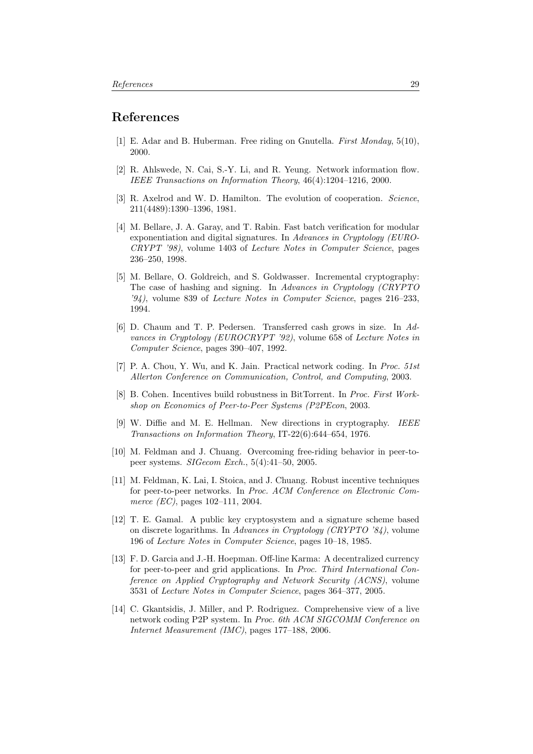## References

- [1] E. Adar and B. Huberman. Free riding on Gnutella. First Monday, 5(10), 2000.
- [2] R. Ahlswede, N. Cai, S.-Y. Li, and R. Yeung. Network information flow. IEEE Transactions on Information Theory, 46(4):1204–1216, 2000.
- [3] R. Axelrod and W. D. Hamilton. The evolution of cooperation. Science, 211(4489):1390–1396, 1981.
- [4] M. Bellare, J. A. Garay, and T. Rabin. Fast batch verification for modular exponentiation and digital signatures. In Advances in Cryptology (EURO-CRYPT '98), volume 1403 of Lecture Notes in Computer Science, pages 236–250, 1998.
- [5] M. Bellare, O. Goldreich, and S. Goldwasser. Incremental cryptography: The case of hashing and signing. In Advances in Cryptology (CRYPTO  $(94)$ , volume 839 of *Lecture Notes in Computer Science*, pages  $216-233$ , 1994.
- [6] D. Chaum and T. P. Pedersen. Transferred cash grows in size. In Advances in Cryptology (EUROCRYPT '92), volume 658 of Lecture Notes in Computer Science, pages 390–407, 1992.
- [7] P. A. Chou, Y. Wu, and K. Jain. Practical network coding. In Proc. 51st Allerton Conference on Communication, Control, and Computing, 2003.
- [8] B. Cohen. Incentives build robustness in BitTorrent. In Proc. First Workshop on Economics of Peer-to-Peer Systems (P2PEcon, 2003.
- [9] W. Diffie and M. E. Hellman. New directions in cryptography. IEEE Transactions on Information Theory, IT-22(6):644–654, 1976.
- [10] M. Feldman and J. Chuang. Overcoming free-riding behavior in peer-topeer systems. SIGecom Exch., 5(4):41–50, 2005.
- [11] M. Feldman, K. Lai, I. Stoica, and J. Chuang. Robust incentive techniques for peer-to-peer networks. In Proc. ACM Conference on Electronic Commerce (*EC*), pages 102–111, 2004.
- [12] T. E. Gamal. A public key cryptosystem and a signature scheme based on discrete logarithms. In Advances in Cryptology (CRYPTO '84), volume 196 of Lecture Notes in Computer Science, pages 10–18, 1985.
- [13] F. D. Garcia and J.-H. Hoepman. Off-line Karma: A decentralized currency for peer-to-peer and grid applications. In Proc. Third International Conference on Applied Cryptography and Network Security (ACNS), volume 3531 of Lecture Notes in Computer Science, pages 364–377, 2005.
- [14] C. Gkantsidis, J. Miller, and P. Rodriguez. Comprehensive view of a live network coding P2P system. In Proc. 6th ACM SIGCOMM Conference on Internet Measurement (IMC), pages 177–188, 2006.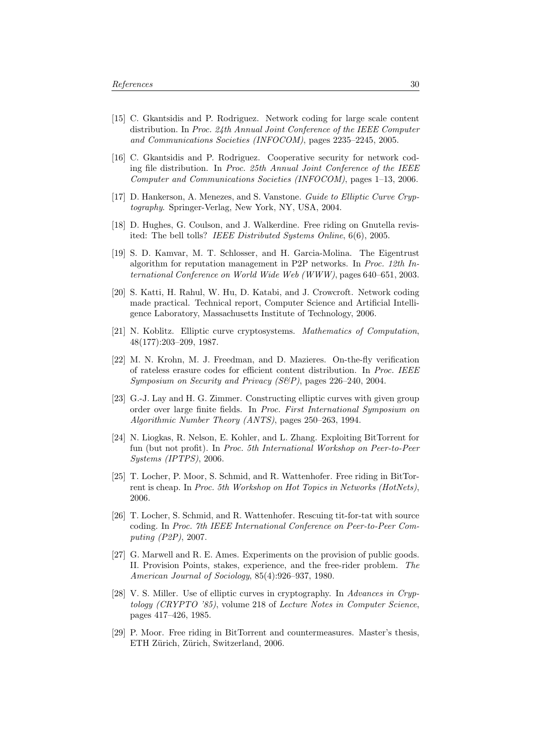- [15] C. Gkantsidis and P. Rodriguez. Network coding for large scale content distribution. In Proc. 24th Annual Joint Conference of the IEEE Computer and Communications Societies (INFOCOM), pages 2235–2245, 2005.
- [16] C. Gkantsidis and P. Rodriguez. Cooperative security for network coding file distribution. In Proc. 25th Annual Joint Conference of the IEEE Computer and Communications Societies (INFOCOM), pages 1–13, 2006.
- [17] D. Hankerson, A. Menezes, and S. Vanstone. Guide to Elliptic Curve Cryptography. Springer-Verlag, New York, NY, USA, 2004.
- [18] D. Hughes, G. Coulson, and J. Walkerdine. Free riding on Gnutella revisited: The bell tolls? IEEE Distributed Systems Online, 6(6), 2005.
- [19] S. D. Kamvar, M. T. Schlosser, and H. Garcia-Molina. The Eigentrust algorithm for reputation management in P2P networks. In Proc. 12th International Conference on World Wide Web (WWW), pages 640–651, 2003.
- [20] S. Katti, H. Rahul, W. Hu, D. Katabi, and J. Crowcroft. Network coding made practical. Technical report, Computer Science and Artificial Intelligence Laboratory, Massachusetts Institute of Technology, 2006.
- [21] N. Koblitz. Elliptic curve cryptosystems. Mathematics of Computation, 48(177):203–209, 1987.
- [22] M. N. Krohn, M. J. Freedman, and D. Mazieres. On-the-fly verification of rateless erasure codes for efficient content distribution. In Proc. IEEE Symposium on Security and Privacy (S&P), pages 226–240, 2004.
- [23] G.-J. Lay and H. G. Zimmer. Constructing elliptic curves with given group order over large finite fields. In Proc. First International Symposium on Algorithmic Number Theory (ANTS), pages 250–263, 1994.
- [24] N. Liogkas, R. Nelson, E. Kohler, and L. Zhang. Exploiting BitTorrent for fun (but not profit). In Proc. 5th International Workshop on Peer-to-Peer Systems (IPTPS), 2006.
- [25] T. Locher, P. Moor, S. Schmid, and R. Wattenhofer. Free riding in BitTorrent is cheap. In Proc. 5th Workshop on Hot Topics in Networks (HotNets), 2006.
- [26] T. Locher, S. Schmid, and R. Wattenhofer. Rescuing tit-for-tat with source coding. In Proc. 7th IEEE International Conference on Peer-to-Peer Computing (P2P), 2007.
- [27] G. Marwell and R. E. Ames. Experiments on the provision of public goods. II. Provision Points, stakes, experience, and the free-rider problem. The American Journal of Sociology, 85(4):926–937, 1980.
- [28] V. S. Miller. Use of elliptic curves in cryptography. In Advances in Cryptology (CRYPTO '85), volume 218 of Lecture Notes in Computer Science, pages 417–426, 1985.
- [29] P. Moor. Free riding in BitTorrent and countermeasures. Master's thesis, ETH Zürich, Zürich, Switzerland, 2006.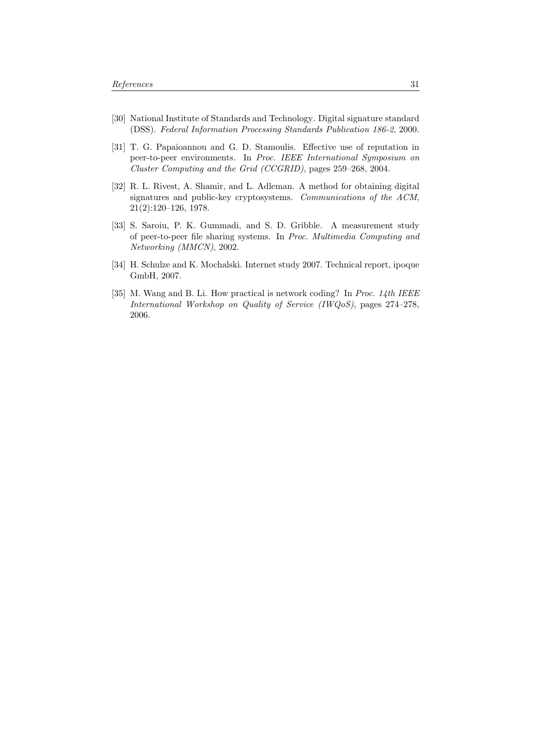- [30] National Institute of Standards and Technology. Digital signature standard (DSS). Federal Information Processing Standards Publication 186-2, 2000.
- [31] T. G. Papaioannou and G. D. Stamoulis. Effective use of reputation in peer-to-peer environments. In Proc. IEEE International Symposium on Cluster Computing and the Grid (CCGRID), pages 259–268, 2004.
- [32] R. L. Rivest, A. Shamir, and L. Adleman. A method for obtaining digital signatures and public-key cryptosystems. Communications of the ACM, 21(2):120–126, 1978.
- [33] S. Saroiu, P. K. Gummadi, and S. D. Gribble. A measurement study of peer-to-peer file sharing systems. In Proc. Multimedia Computing and Networking (MMCN), 2002.
- [34] H. Schulze and K. Mochalski. Internet study 2007. Technical report, ipoque GmbH, 2007.
- [35] M. Wang and B. Li. How practical is network coding? In Proc. 14th IEEE International Workshop on Quality of Service (IWQoS), pages 274–278, 2006.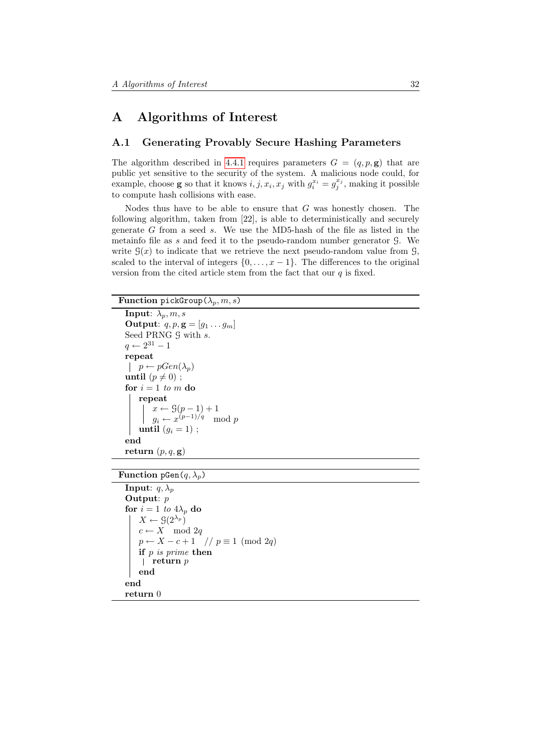## <span id="page-32-0"></span>A Algorithms of Interest

## <span id="page-32-1"></span>A.1 Generating Provably Secure Hashing Parameters

The algorithm described in [4.4.1](#page-20-0) requires parameters  $G = (q, p, \mathbf{g})$  that are public yet sensitive to the security of the system. A malicious node could, for example, choose **g** so that it knows  $i, j, x_i, x_j$  with  $g_i^{x_i} = g_j^{x_j}$ , making it possible to compute hash collisions with ease.

Nodes thus have to be able to ensure that  $G$  was honestly chosen. The following algorithm, taken from [22], is able to deterministically and securely generate  $G$  from a seed  $s$ . We use the MD5-hash of the file as listed in the metainfo file as s and feed it to the pseudo-random number generator G. We write  $\mathcal{G}(x)$  to indicate that we retrieve the next pseudo-random value from  $\mathcal{G}(x)$ , scaled to the interval of integers  $\{0, \ldots, x-1\}$ . The differences to the original version from the cited article stem from the fact that our  $q$  is fixed.

Function pickGroup( $\lambda_p, m, s$ )

```
Input: \lambda_p, m, sOutput: q, p, \mathbf{g} = [g_1 \dots g_m]Seed PRNG \mathcal G with s.
q \leftarrow 2^{31} - 1repeat
p \leftarrow pGen(\lambda_p)until (p \neq 0);
for i = 1 to m do
    repeat
          x \leftarrow \mathcal{G}(p-1) + 1g_i \leftarrow x^{(p-1)/q} \mod puntil (g_i = 1);
end
return (p, q, \mathbf{g})
```
Function pGen $(q, \lambda_p)$ 

```
Input: q, \lambda_pOutput: p
for i = 1 to 4\lambda_p do
   X \leftarrow \mathcal{G}(2^{\lambda_p})c \leftarrow X \mod 2qp \leftarrow X - c + 1 \quad // \ p \equiv 1 \pmod{2q}if p is prime then
    \vert return p
    end
end
return 0
```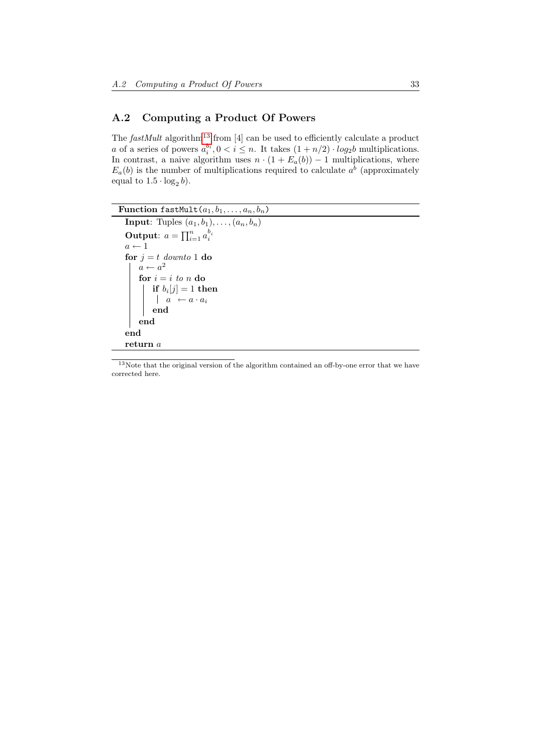## <span id="page-33-0"></span>A.2 Computing a Product Of Powers

The  $fastMult$  algorithm<sup>[13](#page-33-1)</sup> from [4] can be used to efficiently calculate a product a of a series of powers  $a_i^{b_i}, 0 < i \leq n$ . It takes  $(1 + n/2) \cdot log_2 b$  multiplications. In contrast, a naive algorithm uses  $n \cdot (1 + E_a(b)) - 1$  multiplications, where  $E_a(b)$  is the number of multiplications required to calculate  $a^b$  (approximately equal to  $1.5 \cdot \log_2 b$ .

```
Function fastMult(a_1, b_1, \ldots, a_n, b_n)Input: Tuples (a_1, b_1), \ldots, (a_n, b_n)Output: a = \prod_{i=1}^n a_i^{b_i}a \leftarrow 1for j = t downto 1 do
       a \leftarrow a^2for i = i to n do
            \mathbf{if}\,\, b_i[j]=1\,\, \mathbf{then}a \leftarrow a \cdot a_iend
      end
  end
 return a
```
<span id="page-33-1"></span><sup>13</sup>Note that the original version of the algorithm contained an off-by-one error that we have corrected here.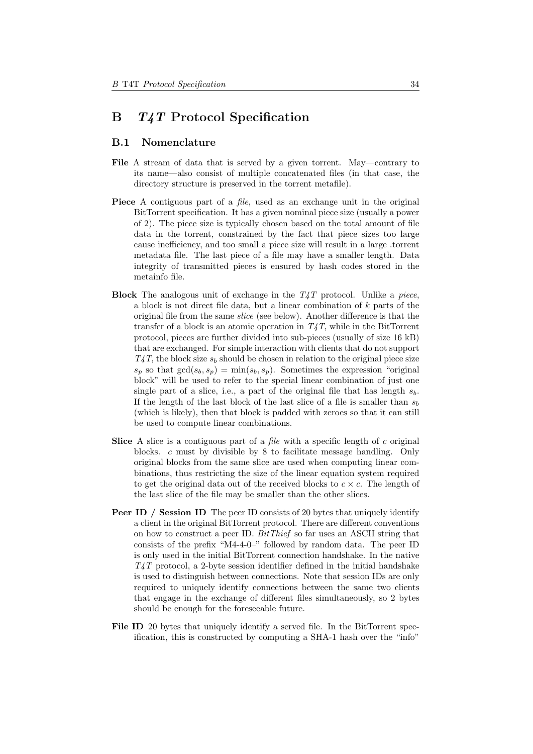## <span id="page-34-0"></span>B T4T Protocol Specification

## <span id="page-34-1"></span>B.1 Nomenclature

- File A stream of data that is served by a given torrent. May—contrary to its name—also consist of multiple concatenated files (in that case, the directory structure is preserved in the torrent metafile).
- Piece A contiguous part of a *file*, used as an exchange unit in the original BitTorrent specification. It has a given nominal piece size (usually a power of 2). The piece size is typically chosen based on the total amount of file data in the torrent, constrained by the fact that piece sizes too large cause inefficiency, and too small a piece size will result in a large .torrent metadata file. The last piece of a file may have a smaller length. Data integrity of transmitted pieces is ensured by hash codes stored in the metainfo file.
- **Block** The analogous unit of exchange in the  $T_{4}T$  protocol. Unlike a piece, a block is not direct file data, but a linear combination of k parts of the original file from the same slice (see below). Another difference is that the transfer of a block is an atomic operation in  $T_4T$ , while in the BitTorrent protocol, pieces are further divided into sub-pieces (usually of size 16 kB) that are exchanged. For simple interaction with clients that do not support  $T_{\mathcal{A}}T$ , the block size  $s_b$  should be chosen in relation to the original piece size  $s_p$  so that  $gcd(s_b, s_p) = min(s_b, s_p)$ . Sometimes the expression "original" block" will be used to refer to the special linear combination of just one single part of a slice, i.e., a part of the original file that has length  $s_b$ . If the length of the last block of the last slice of a file is smaller than  $s<sub>b</sub>$ (which is likely), then that block is padded with zeroes so that it can still be used to compute linear combinations.
- Slice A slice is a contiguous part of a *file* with a specific length of  $c$  original blocks. c must by divisible by 8 to facilitate message handling. Only original blocks from the same slice are used when computing linear combinations, thus restricting the size of the linear equation system required to get the original data out of the received blocks to  $c \times c$ . The length of the last slice of the file may be smaller than the other slices.
- **Peer ID** / Session ID The peer ID consists of 20 bytes that uniquely identify a client in the original BitTorrent protocol. There are different conventions on how to construct a peer ID. BitThief so far uses an ASCII string that consists of the prefix "M4-4-0–" followed by random data. The peer ID is only used in the initial BitTorrent connection handshake. In the native  $T_{4}T$  protocol, a 2-byte session identifier defined in the initial handshake is used to distinguish between connections. Note that session IDs are only required to uniquely identify connections between the same two clients that engage in the exchange of different files simultaneously, so 2 bytes should be enough for the foreseeable future.
- File ID 20 bytes that uniquely identify a served file. In the BitTorrent specification, this is constructed by computing a SHA-1 hash over the "info"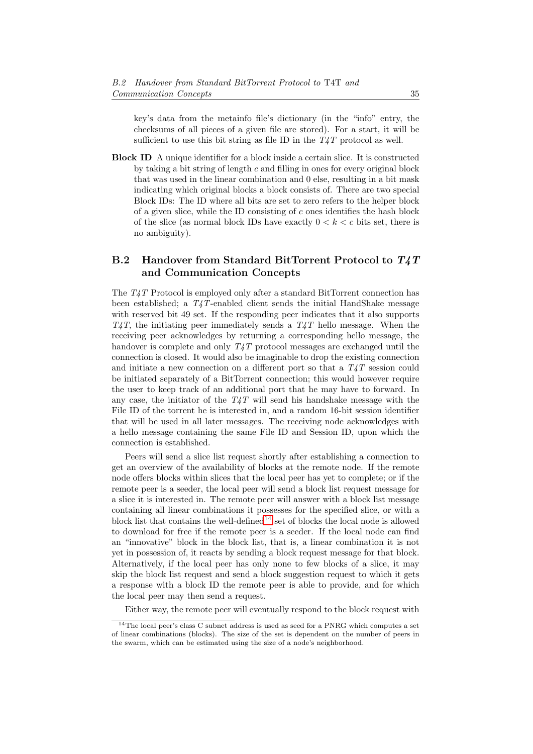key's data from the metainfo file's dictionary (in the "info" entry, the checksums of all pieces of a given file are stored). For a start, it will be sufficient to use this bit string as file ID in the  $T_{4}T$  protocol as well.

Block ID A unique identifier for a block inside a certain slice. It is constructed by taking a bit string of length  $c$  and filling in ones for every original block that was used in the linear combination and 0 else, resulting in a bit mask indicating which original blocks a block consists of. There are two special Block IDs: The ID where all bits are set to zero refers to the helper block of a given slice, while the ID consisting of  $c$  ones identifies the hash block of the slice (as normal block IDs have exactly  $0 < k < c$  bits set, there is no ambiguity).

## <span id="page-35-0"></span>B.2 Handover from Standard BitTorrent Protocol to T4T and Communication Concepts

The T4T Protocol is employed only after a standard BitTorrent connection has been established; a  $T/4T$ -enabled client sends the initial HandShake message with reserved bit 49 set. If the responding peer indicates that it also supports  $T_4T$ , the initiating peer immediately sends a  $T_4T$  hello message. When the receiving peer acknowledges by returning a corresponding hello message, the handover is complete and only  $T_{4}T$  protocol messages are exchanged until the connection is closed. It would also be imaginable to drop the existing connection and initiate a new connection on a different port so that a  $T_4T$  session could be initiated separately of a BitTorrent connection; this would however require the user to keep track of an additional port that he may have to forward. In any case, the initiator of the  $T_{4}$ T will send his handshake message with the File ID of the torrent he is interested in, and a random 16-bit session identifier that will be used in all later messages. The receiving node acknowledges with a hello message containing the same File ID and Session ID, upon which the connection is established.

Peers will send a slice list request shortly after establishing a connection to get an overview of the availability of blocks at the remote node. If the remote node offers blocks within slices that the local peer has yet to complete; or if the remote peer is a seeder, the local peer will send a block list request message for a slice it is interested in. The remote peer will answer with a block list message containing all linear combinations it possesses for the specified slice, or with a block list that contains the well-defined<sup>[14](#page-35-1)</sup> set of blocks the local node is allowed to download for free if the remote peer is a seeder. If the local node can find an "innovative" block in the block list, that is, a linear combination it is not yet in possession of, it reacts by sending a block request message for that block. Alternatively, if the local peer has only none to few blocks of a slice, it may skip the block list request and send a block suggestion request to which it gets a response with a block ID the remote peer is able to provide, and for which the local peer may then send a request.

Either way, the remote peer will eventually respond to the block request with

<span id="page-35-1"></span><sup>14</sup>The local peer's class C subnet address is used as seed for a PNRG which computes a set of linear combinations (blocks). The size of the set is dependent on the number of peers in the swarm, which can be estimated using the size of a node's neighborhood.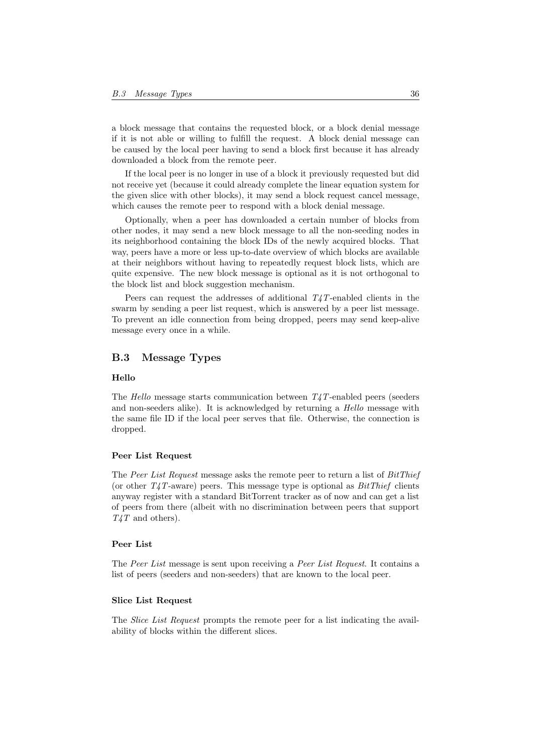a block message that contains the requested block, or a block denial message if it is not able or willing to fulfill the request. A block denial message can be caused by the local peer having to send a block first because it has already downloaded a block from the remote peer.

If the local peer is no longer in use of a block it previously requested but did not receive yet (because it could already complete the linear equation system for the given slice with other blocks), it may send a block request cancel message, which causes the remote peer to respond with a block denial message.

Optionally, when a peer has downloaded a certain number of blocks from other nodes, it may send a new block message to all the non-seeding nodes in its neighborhood containing the block IDs of the newly acquired blocks. That way, peers have a more or less up-to-date overview of which blocks are available at their neighbors without having to repeatedly request block lists, which are quite expensive. The new block message is optional as it is not orthogonal to the block list and block suggestion mechanism.

Peers can request the addresses of additional  $T_4T$ -enabled clients in the swarm by sending a peer list request, which is answered by a peer list message. To prevent an idle connection from being dropped, peers may send keep-alive message every once in a while.

## <span id="page-36-0"></span>B.3 Message Types

#### Hello

The Hello message starts communication between  $T_4T$ -enabled peers (seeders and non-seeders alike). It is acknowledged by returning a *Hello* message with the same file ID if the local peer serves that file. Otherwise, the connection is dropped.

### Peer List Request

The Peer List Request message asks the remote peer to return a list of BitThief (or other  $T_4T$ -aware) peers. This message type is optional as  $BitThief$  clients anyway register with a standard BitTorrent tracker as of now and can get a list of peers from there (albeit with no discrimination between peers that support  $T_4T$  and others).

#### Peer List

The Peer List message is sent upon receiving a Peer List Request. It contains a list of peers (seeders and non-seeders) that are known to the local peer.

### Slice List Request

The Slice List Request prompts the remote peer for a list indicating the availability of blocks within the different slices.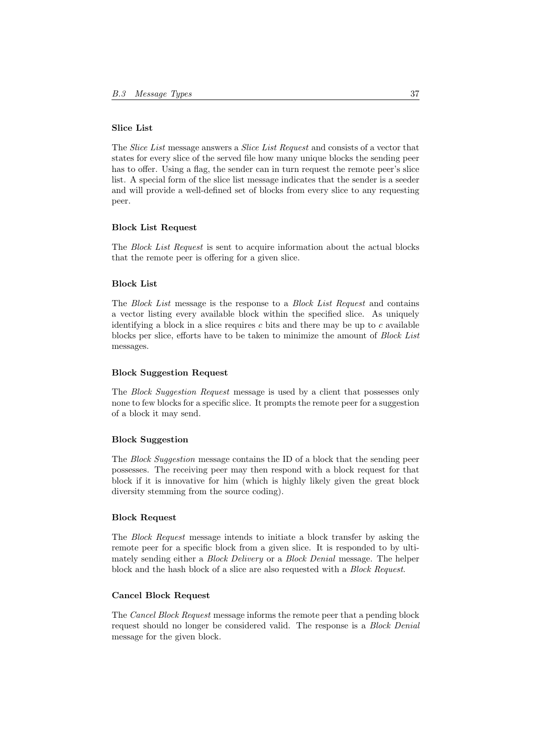#### Slice List

The Slice List message answers a Slice List Request and consists of a vector that states for every slice of the served file how many unique blocks the sending peer has to offer. Using a flag, the sender can in turn request the remote peer's slice list. A special form of the slice list message indicates that the sender is a seeder and will provide a well-defined set of blocks from every slice to any requesting peer.

#### Block List Request

The Block List Request is sent to acquire information about the actual blocks that the remote peer is offering for a given slice.

#### Block List

The Block List message is the response to a Block List Request and contains a vector listing every available block within the specified slice. As uniquely identifying a block in a slice requires  $c$  bits and there may be up to  $c$  available blocks per slice, efforts have to be taken to minimize the amount of Block List messages.

#### Block Suggestion Request

The Block Suggestion Request message is used by a client that possesses only none to few blocks for a specific slice. It prompts the remote peer for a suggestion of a block it may send.

## Block Suggestion

The Block Suggestion message contains the ID of a block that the sending peer possesses. The receiving peer may then respond with a block request for that block if it is innovative for him (which is highly likely given the great block diversity stemming from the source coding).

### Block Request

The Block Request message intends to initiate a block transfer by asking the remote peer for a specific block from a given slice. It is responded to by ultimately sending either a Block Delivery or a Block Denial message. The helper block and the hash block of a slice are also requested with a Block Request.

### Cancel Block Request

The Cancel Block Request message informs the remote peer that a pending block request should no longer be considered valid. The response is a Block Denial message for the given block.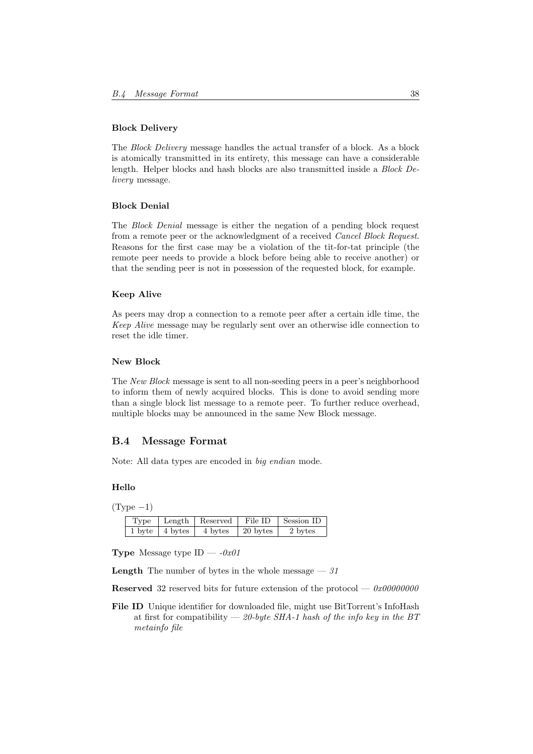#### Block Delivery

The Block Delivery message handles the actual transfer of a block. As a block is atomically transmitted in its entirety, this message can have a considerable length. Helper blocks and hash blocks are also transmitted inside a Block Delivery message.

#### Block Denial

The Block Denial message is either the negation of a pending block request from a remote peer or the acknowledgment of a received Cancel Block Request. Reasons for the first case may be a violation of the tit-for-tat principle (the remote peer needs to provide a block before being able to receive another) or that the sending peer is not in possession of the requested block, for example.

### Keep Alive

As peers may drop a connection to a remote peer after a certain idle time, the Keep Alive message may be regularly sent over an otherwise idle connection to reset the idle timer.

#### New Block

The New Block message is sent to all non-seeding peers in a peer's neighborhood to inform them of newly acquired blocks. This is done to avoid sending more than a single block list message to a remote peer. To further reduce overhead, multiple blocks may be announced in the same New Block message.

## <span id="page-38-0"></span>B.4 Message Format

Note: All data types are encoded in big endian mode.

#### Hello

 $(Type -1)$ 

| Type   |         | Length   Reserved | File ID  | Session ID |
|--------|---------|-------------------|----------|------------|
| 1 byte | 4 bytes | 4 bytes           | 20 bytes | 2 bytes    |

**Type** Message type ID  $-$  -0x01

**Length** The number of bytes in the whole message  $-31$ 

**Reserved** 32 reserved bits for future extension of the protocol —  $0x00000000$ 

File ID Unique identifier for downloaded file, might use BitTorrent's InfoHash at first for compatibility — 20-byte SHA-1 hash of the info key in the BT metainfo file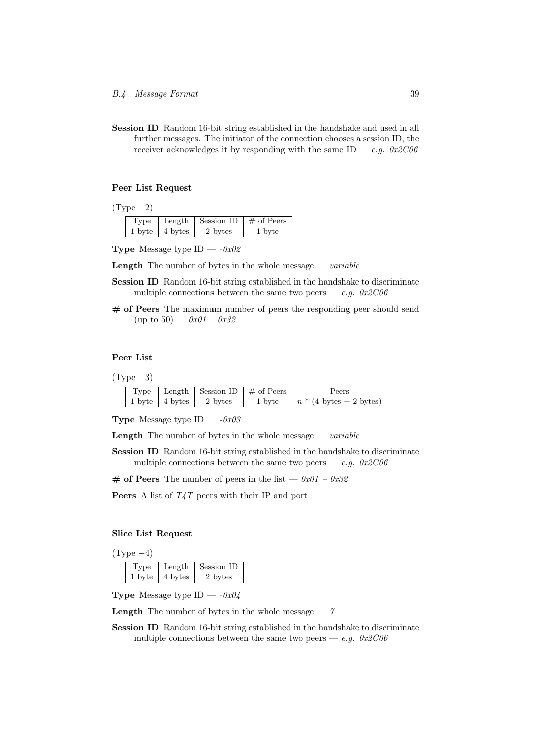Session ID Random 16-bit string established in the handshake and used in all further messages. The initiator of the connection chooses a session ID, the receiver acknowledges it by responding with the same ID — e.g.  $0x2C06$ 

### Peer List Request

 $(Type -2)$ 

| Type   | Length  | Session ID $\#$ of Peers |        |
|--------|---------|--------------------------|--------|
| 1 byte | 4 bytes | 2 bytes                  | 1 byte |

**Type** Message type ID —  $-0x02$ 

**Length** The number of bytes in the whole message  $\frac{d}{dx}$  *neariable* 

- Session ID Random 16-bit string established in the handshake to discriminate multiple connections between the same two peers — e.g.  $0x2C06$
- $#$  of Peers The maximum number of peers the responding peer should send (up to 50) —  $0x01 - 0x32$

## Peer List

 $(Type -3)$ 

|  |                            | $\perp$ Type $\perp$ Length Session ID $\neq$ of Peers | Peers                     |
|--|----------------------------|--------------------------------------------------------|---------------------------|
|  | 1 byte   4 bytes   2 bytes | 1 byte                                                 | $n * (4 bytes + 2 bytes)$ |

**Type** Message type ID —  $-0x03$ 

**Length** The number of bytes in the whole message  $\frac{d}{dx}$  *neariable* 

Session ID Random 16-bit string established in the handshake to discriminate multiple connections between the same two peers — e.g.  $0x2C06$ 

# of Peers The number of peers in the list —  $0x01 - 0x32$ 

**Peers** A list of  $T_4T$  peers with their IP and port

## Slice List Request

 $(Type-4)$ 

| Type | Length  | Session ID |
|------|---------|------------|
| byte | 4 bytes | 2 bytes    |

**Type** Message type ID —  $-0x04$ 

**Length** The number of bytes in the whole message  $-7$ 

Session ID Random 16-bit string established in the handshake to discriminate multiple connections between the same two peers — e.g.  $0x2C06$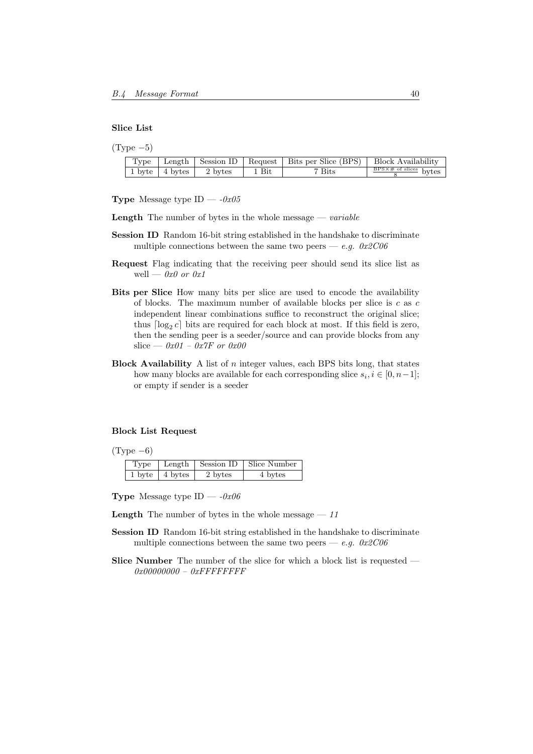#### Slice List

| $(\text{Type }-5)$ |                            |         |         |                                                                        |                                                          |
|--------------------|----------------------------|---------|---------|------------------------------------------------------------------------|----------------------------------------------------------|
| Type               |                            |         |         | Length $\vert$ Session ID $\vert$ Request $\vert$ Bits per Slice (BPS) | Block Availability                                       |
|                    | $1 \text{ byte}$   4 bytes | 2 bytes | $1$ Bit | <sup>7</sup> Bits                                                      | $\frac{\text{BPS} \times \# \text{ of slices}}{8}$ bytes |

**Type** Message type ID —  $-0x05$ 

**Length** The number of bytes in the whole message  $\frac{d}{dx}$  *nextiable* 

- Session ID Random 16-bit string established in the handshake to discriminate multiple connections between the same two peers — e.g.  $0x2C06$
- Request Flag indicating that the receiving peer should send its slice list as well —  $0x0$  or  $0x1$
- Bits per Slice How many bits per slice are used to encode the availability of blocks. The maximum number of available blocks per slice is c as c independent linear combinations suffice to reconstruct the original slice; thus  $\lceil \log_2 c \rceil$  bits are required for each block at most. If this field is zero, then the sending peer is a seeder/source and can provide blocks from any slice —  $0x01 - 0x7F$  or  $0x00$
- **Block Availability** A list of  $n$  integer values, each BPS bits long, that states how many blocks are available for each corresponding slice  $s_i, i \in [0, n-1]$ ; or empty if sender is a seeder

#### Block List Request

 $(Type -6)$ 

| Type |                                       |         | Length   Session ID   Slice Number |
|------|---------------------------------------|---------|------------------------------------|
|      | $1 \text{ byte} \mid 4 \text{ bytes}$ | 2 bytes | 4 bytes                            |

**Type** Message type ID  $-$  -0x06

**Length** The number of bytes in the whole message  $-11$ 

- Session ID Random 16-bit string established in the handshake to discriminate multiple connections between the same two peers — e.g.  $0x2C06$
- Slice Number The number of the slice for which a block list is requested 0x00000000 – 0xFFFFFFFF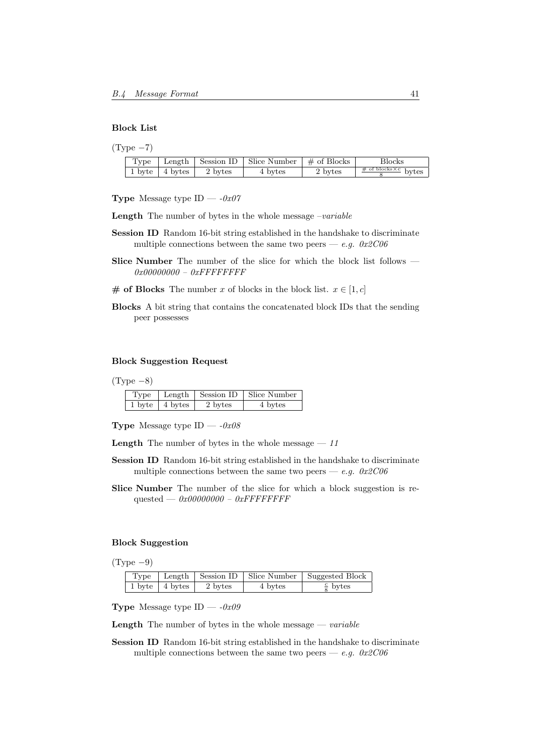#### Block List

| Type |                            |         | Length   Session ID   Slice Number   $\#$ of Blocks |         | Blocks                                         |
|------|----------------------------|---------|-----------------------------------------------------|---------|------------------------------------------------|
|      | $1 \text{ byte}$   4 bytes | 2 bytes | 4 bytes                                             | 2 bytes | $\frac{\text{\# of blocks} \times c}{c}$ bytes |

- **Type** Message type ID  $-0x07$
- **Length** The number of bytes in the whole message  $-variable$
- Session ID Random 16-bit string established in the handshake to discriminate multiple connections between the same two peers — e.g.  $0x2C06$
- Slice Number The number of the slice for which the block list follows 0x00000000 – 0xFFFFFFFF
- # of Blocks The number x of blocks in the block list.  $x \in [1, c]$
- Blocks A bit string that contains the concatenated block IDs that the sending peer possesses

## Block Suggestion Request

 $(Type -8)$ 

| Type |                            |         | Length   Session ID   Slice Number |
|------|----------------------------|---------|------------------------------------|
|      | $1 \text{ byte}$   4 bytes | 2 bytes | 4 bytes                            |

**Type** Message type ID  $-$  -0x08

**Length** The number of bytes in the whole message  $-11$ 

- Session ID Random 16-bit string established in the handshake to discriminate multiple connections between the same two peers — e.g.  $0x2C06$
- Slice Number The number of the slice for which a block suggestion is requested —  $0x00000000 - 0xFFFFFFFF$

## Block Suggestion

 $(Type -9)$ 

|  |                                      |         | Type   Length   Session ID   Slice Number   Suggested Block |
|--|--------------------------------------|---------|-------------------------------------------------------------|
|  | $1 \text{ byte}$   4 bytes   2 bytes | 4 bytes | $\frac{c}{s}$ bytes                                         |

**Type** Message type ID  $-$  -0x09

**Length** The number of bytes in the whole message  $\frac{d}{dx}$  *neariable* 

Session ID Random 16-bit string established in the handshake to discriminate multiple connections between the same two peers — e.g.  $0x2C06$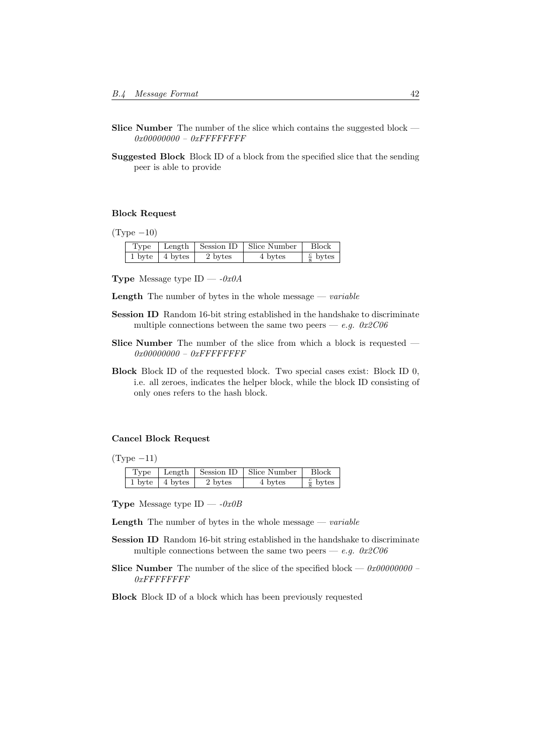- Slice Number The number of the slice which contains the suggested block 0x00000000 – 0xFFFFFFFF
- Suggested Block Block ID of a block from the specified slice that the sending peer is able to provide

#### Block Request

 $(Type -10)$ 

|  |                            |         | $Type \mid Length \mid Session ID \mid Since Number \mid$ | <b>Block</b>        |
|--|----------------------------|---------|-----------------------------------------------------------|---------------------|
|  | $1 \text{ byte}$   4 bytes | 2 bytes | 4 bytes                                                   | $\frac{c}{8}$ bytes |

**Type** Message type  $ID - -0x0A$ 

**Length** The number of bytes in the whole message  $\frac{d}{dx}$  *nextiable* 

- Session ID Random 16-bit string established in the handshake to discriminate multiple connections between the same two peers — e.g.  $0x2C06$
- Slice Number The number of the slice from which a block is requested 0x00000000 - 0xFFFFFFFFF
- Block Block ID of the requested block. Two special cases exist: Block ID 0, i.e. all zeroes, indicates the helper block, while the block ID consisting of only ones refers to the hash block.

#### Cancel Block Request

 $(Type -11)$ 

| Type |                            |         | Length   Session ID   Slice Number | $ $ Block           |
|------|----------------------------|---------|------------------------------------|---------------------|
|      | $1 \text{ byte}$   4 bytes | 2 bytes | 4 bytes                            | $\frac{c}{8}$ bytes |

**Type** Message type ID —  $-0x0B$ 

**Length** The number of bytes in the whole message  $\frac{d}{dx}$  *neariable* 

- Session ID Random 16-bit string established in the handshake to discriminate multiple connections between the same two peers — e.g.  $0x2C06$
- Slice Number The number of the slice of the specified block 0x00000000 0xFFFFFFFF

Block Block ID of a block which has been previously requested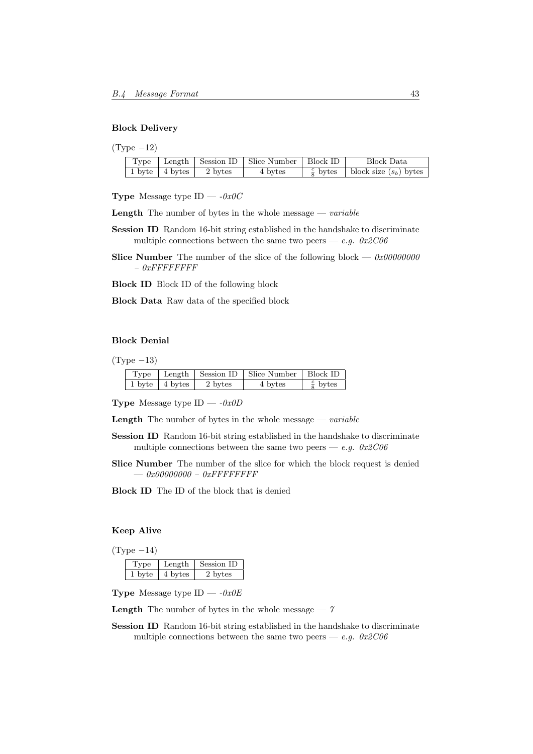#### Block Delivery

| Type | 2) |  |
|------|----|--|
|------|----|--|

|  |                            | Type   Length   Session ID   Slice Number   Block ID |                         | <b>Block Data</b>        |
|--|----------------------------|------------------------------------------------------|-------------------------|--------------------------|
|  | 1 byte   4 bytes   2 bytes | 4 bytes                                              | $\frac{c}{\circ}$ bytes | block size $(s_b)$ bytes |

**Type** Message type ID  $-$  -0x0C

**Length** The number of bytes in the whole message  $\rightarrow$  *variable* 

- Session ID Random 16-bit string established in the handshake to discriminate multiple connections between the same two peers — e.g.  $0x2C06$
- Slice Number The number of the slice of the following block 0x00000000  $-$  0xFFFFFFFFF

Block ID Block ID of the following block

Block Data Raw data of the specified block

## Block Denial

 $(Type -13)$ 

|  |                                                          | Type   Length   Session ID   Slice Number   Block ID |                     |
|--|----------------------------------------------------------|------------------------------------------------------|---------------------|
|  | $1 \text{ byte}$   $4 \text{ bytes}$   $2 \text{ bytes}$ | 4 bytes                                              | $\frac{c}{8}$ bytes |

**Type** Message type  $ID - -0x0D$ 

**Length** The number of bytes in the whole message  $\frac{d}{dx}$  *nextiable* 

- Session ID Random 16-bit string established in the handshake to discriminate multiple connections between the same two peers — e.g.  $0x2C06$
- Slice Number The number of the slice for which the block request is denied  $-$ 0x00000000 - 0xFFFFFFFFF
- Block ID The ID of the block that is denied

### Keep Alive

 $(Type -14)$ 

|        | Length  | Session ID |
|--------|---------|------------|
| 1 byte | 4 bytes | 2 bytes    |

**Type** Message type ID —  $-0x0E$ 

**Length** The number of bytes in the whole message  $-7$ 

Session ID Random 16-bit string established in the handshake to discriminate multiple connections between the same two peers — e.g.  $0x2C06$